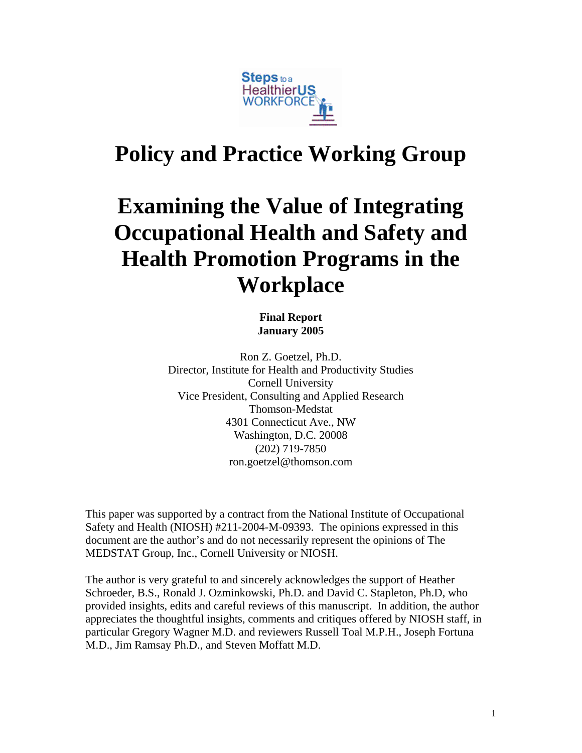

# **Policy and Practice Working Group**

# **Examining the Value of Integrating Occupational Health and Safety and Health Promotion Programs in the Workplace**

**Final Report January 2005** 

Ron Z. Goetzel, Ph.D. Director, Institute for Health and Productivity Studies Cornell University Vice President, Consulting and Applied Research Thomson-Medstat 4301 Connecticut Ave., NW Washington, D.C. 20008 (202) 719-7850 ron.goetzel@thomson.com

This paper was supported by a contract from the National Institute of Occupational Safety and Health (NIOSH) #211-2004-M-09393. The opinions expressed in this document are the author's and do not necessarily represent the opinions of The MEDSTAT Group, Inc., Cornell University or NIOSH.

The author is very grateful to and sincerely acknowledges the support of Heather Schroeder, B.S., Ronald J. Ozminkowski, Ph.D. and David C. Stapleton, Ph.D, who provided insights, edits and careful reviews of this manuscript. In addition, the author appreciates the thoughtful insights, comments and critiques offered by NIOSH staff, in particular Gregory Wagner M.D. and reviewers Russell Toal M.P.H., Joseph Fortuna M.D., Jim Ramsay Ph.D., and Steven Moffatt M.D.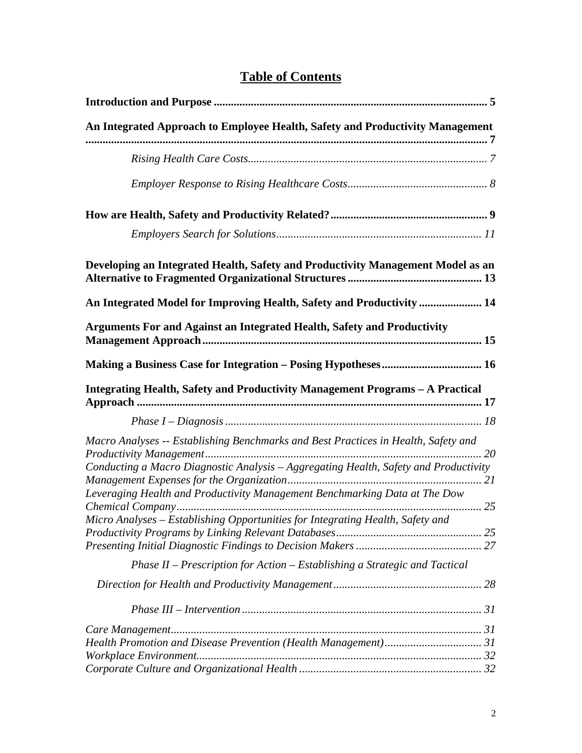| An Integrated Approach to Employee Health, Safety and Productivity Management                                                                                              |  |
|----------------------------------------------------------------------------------------------------------------------------------------------------------------------------|--|
|                                                                                                                                                                            |  |
|                                                                                                                                                                            |  |
|                                                                                                                                                                            |  |
|                                                                                                                                                                            |  |
|                                                                                                                                                                            |  |
| Developing an Integrated Health, Safety and Productivity Management Model as an                                                                                            |  |
| An Integrated Model for Improving Health, Safety and Productivity  14                                                                                                      |  |
| Arguments For and Against an Integrated Health, Safety and Productivity                                                                                                    |  |
|                                                                                                                                                                            |  |
| Integrating Health, Safety and Productivity Management Programs - A Practical                                                                                              |  |
|                                                                                                                                                                            |  |
| Macro Analyses -- Establishing Benchmarks and Best Practices in Health, Safety and<br>Conducting a Macro Diagnostic Analysis - Aggregating Health, Safety and Productivity |  |
| Leveraging Health and Productivity Management Benchmarking Data at The Dow                                                                                                 |  |
| Micro Analyses - Establishing Opportunities for Integrating Health, Safety and                                                                                             |  |
| Phase $II$ – Prescription for Action – Establishing a Strategic and Tactical                                                                                               |  |
|                                                                                                                                                                            |  |
|                                                                                                                                                                            |  |
|                                                                                                                                                                            |  |
|                                                                                                                                                                            |  |
|                                                                                                                                                                            |  |
|                                                                                                                                                                            |  |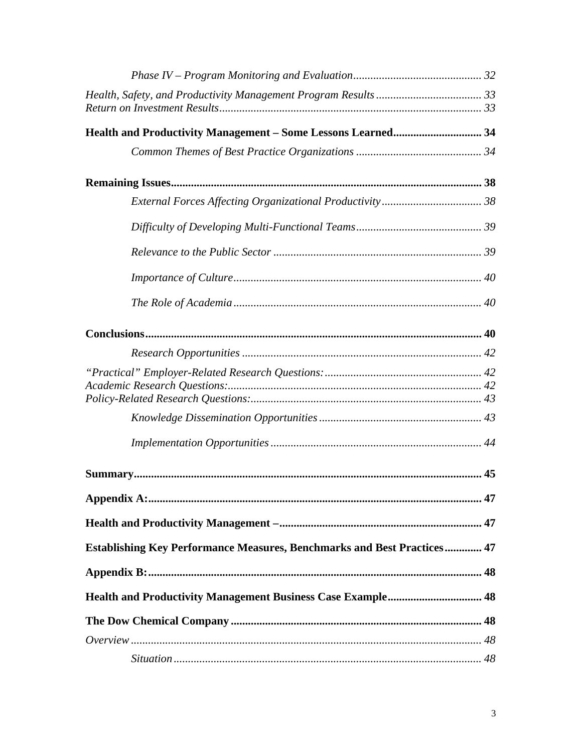| <b>Establishing Key Performance Measures, Benchmarks and Best Practices 47</b> |  |
|--------------------------------------------------------------------------------|--|
|                                                                                |  |
|                                                                                |  |
|                                                                                |  |
|                                                                                |  |
|                                                                                |  |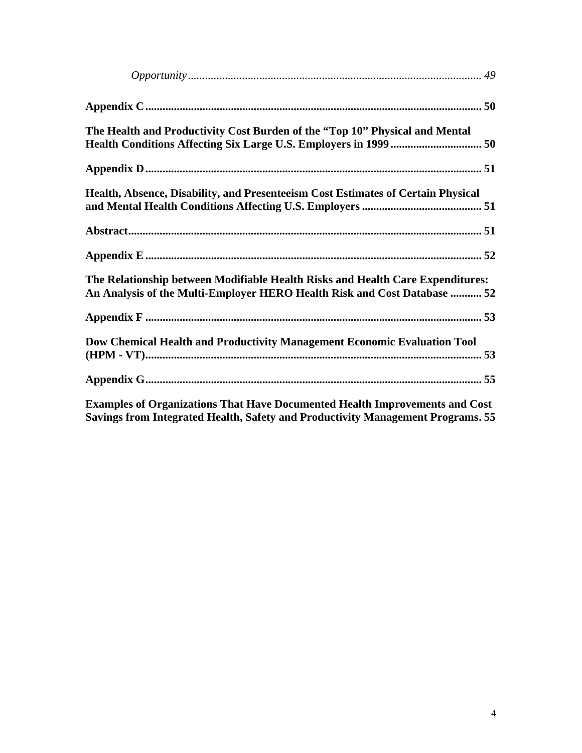| The Health and Productivity Cost Burden of the "Top 10" Physical and Mental                                                                                           |
|-----------------------------------------------------------------------------------------------------------------------------------------------------------------------|
|                                                                                                                                                                       |
| Health, Absence, Disability, and Presenteeism Cost Estimates of Certain Physical                                                                                      |
|                                                                                                                                                                       |
|                                                                                                                                                                       |
| The Relationship between Modifiable Health Risks and Health Care Expenditures:<br>An Analysis of the Multi-Employer HERO Health Risk and Cost Database  52            |
|                                                                                                                                                                       |
| Dow Chemical Health and Productivity Management Economic Evaluation Tool                                                                                              |
|                                                                                                                                                                       |
| <b>Examples of Organizations That Have Documented Health Improvements and Cost</b><br>Savings from Integrated Health, Safety and Productivity Management Programs. 55 |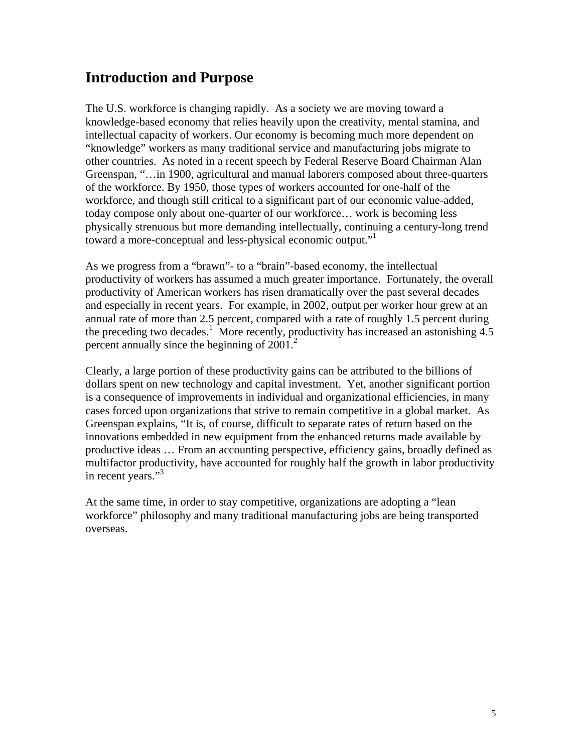# **Introduction and Purpose**

The U.S. workforce is changing rapidly. As a society we are moving toward a knowledge-based economy that relies heavily upon the creativity, mental stamina, and intellectual capacity of workers. Our economy is becoming much more dependent on "knowledge" workers as many traditional service and manufacturing jobs migrate to other countries. As noted in a recent speech by Federal Reserve Board Chairman Alan Greenspan, "…in 1900, agricultural and manual laborers composed about three-quarters of the workforce. By 1950, those types of workers accounted for one-half of the workforce, and though still critical to a significant part of our economic value-added, today compose only about one-quarter of our workforce… work is becoming less physically strenuous but more demanding intellectually, continuing a century-long trend toward a more-conceptual and less-physical economic output."

As we progress from a "brawn"- to a "brain"-based economy, the intellectual productivity of workers has assumed a much greater importance. Fortunately, the overall productivity of American workers has risen dramatically over the past several decades and especially in recent years. For example, in 2002, output per worker hour grew at an annual rate of more than 2.5 percent, compared with a rate of roughly 1.5 percent during the preceding two decades.<sup>1</sup> More recently, productivity has increased an astonishing  $4.5$ percent annually since the beginning of 2001.<sup>2</sup>

Clearly, a large portion of these productivity gains can be attributed to the billions of dollars spent on new technology and capital investment. Yet, another significant portion is a consequence of improvements in individual and organizational efficiencies, in many cases forced upon organizations that strive to remain competitive in a global market. As Greenspan explains, "It is, of course, difficult to separate rates of return based on the innovations embedded in new equipment from the enhanced returns made available by productive ideas … From an accounting perspective, efficiency gains, broadly defined as multifactor productivity, have accounted for roughly half the growth in labor productivity in recent years."<sup>3</sup>

At the same time, in order to stay competitive, organizations are adopting a "lean workforce" philosophy and many traditional manufacturing jobs are being transported overseas.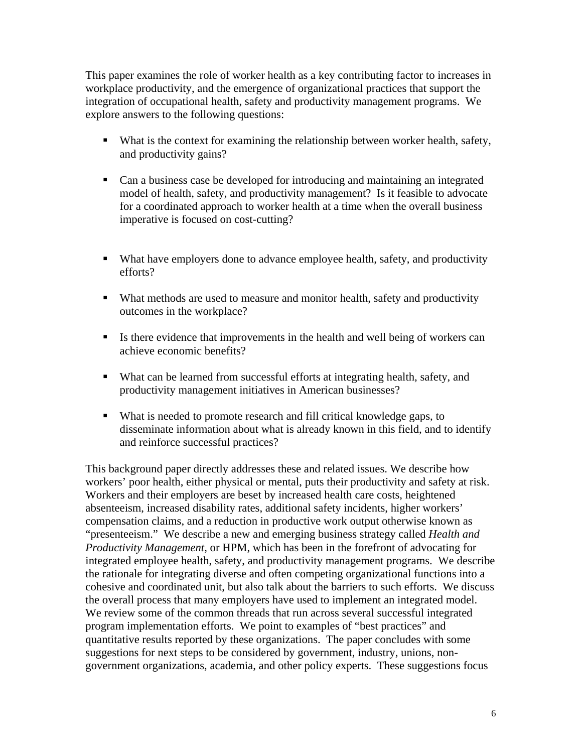This paper examines the role of worker health as a key contributing factor to increases in workplace productivity, and the emergence of organizational practices that support the integration of occupational health, safety and productivity management programs. We explore answers to the following questions:

- What is the context for examining the relationship between worker health, safety, and productivity gains?
- Can a business case be developed for introducing and maintaining an integrated model of health, safety, and productivity management? Is it feasible to advocate for a coordinated approach to worker health at a time when the overall business imperative is focused on cost-cutting?
- What have employers done to advance employee health, safety, and productivity efforts?
- What methods are used to measure and monitor health, safety and productivity outcomes in the workplace?
- Is there evidence that improvements in the health and well being of workers can achieve economic benefits?
- What can be learned from successful efforts at integrating health, safety, and productivity management initiatives in American businesses?
- What is needed to promote research and fill critical knowledge gaps, to disseminate information about what is already known in this field, and to identify and reinforce successful practices?

This background paper directly addresses these and related issues. We describe how workers' poor health, either physical or mental, puts their productivity and safety at risk. Workers and their employers are beset by increased health care costs, heightened absenteeism, increased disability rates, additional safety incidents, higher workers' compensation claims, and a reduction in productive work output otherwise known as "presenteeism." We describe a new and emerging business strategy called *Health and Productivity Management,* or HPM, which has been in the forefront of advocating for integrated employee health, safety, and productivity management programs. We describe the rationale for integrating diverse and often competing organizational functions into a cohesive and coordinated unit, but also talk about the barriers to such efforts. We discuss the overall process that many employers have used to implement an integrated model. We review some of the common threads that run across several successful integrated program implementation efforts. We point to examples of "best practices" and quantitative results reported by these organizations. The paper concludes with some suggestions for next steps to be considered by government, industry, unions, nongovernment organizations, academia, and other policy experts. These suggestions focus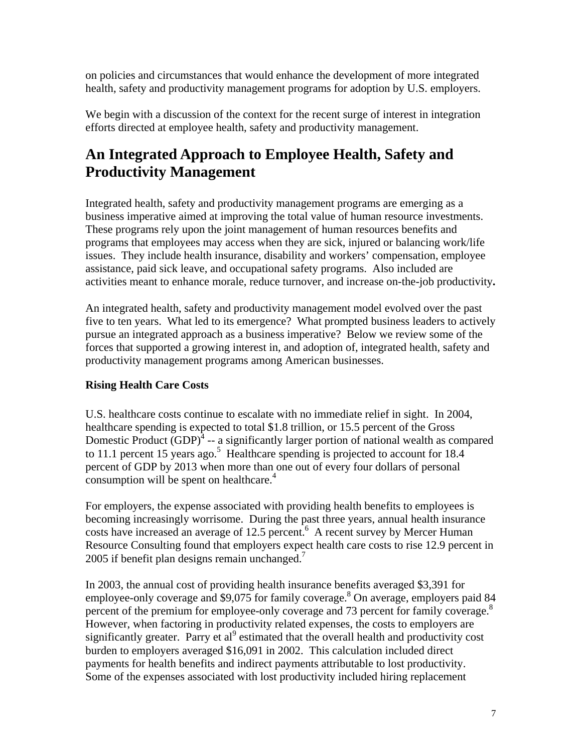on policies and circumstances that would enhance the development of more integrated health, safety and productivity management programs for adoption by U.S. employers.

We begin with a discussion of the context for the recent surge of interest in integration efforts directed at employee health, safety and productivity management.

# **An Integrated Approach to Employee Health, Safety and Productivity Management**

Integrated health, safety and productivity management programs are emerging as a business imperative aimed at improving the total value of human resource investments. These programs rely upon the joint management of human resources benefits and programs that employees may access when they are sick, injured or balancing work/life issues. They include health insurance, disability and workers' compensation, employee assistance, paid sick leave, and occupational safety programs. Also included are activities meant to enhance morale, reduce turnover, and increase on-the-job productivity**.** 

An integrated health, safety and productivity management model evolved over the past five to ten years. What led to its emergence? What prompted business leaders to actively pursue an integrated approach as a business imperative? Below we review some of the forces that supported a growing interest in, and adoption of, integrated health, safety and productivity management programs among American businesses.

# **Rising Health Care Costs**

U.S. healthcare costs continue to escalate with no immediate relief in sight. In 2004, healthcare spending is expected to total \$1.8 trillion, or 15.5 percent of the Gross Domestic Product  $(GDP)^4$  -- a significantly larger portion of national wealth as compared to 11.1 percent 15 years ago.<sup>5</sup> Healthcare spending is projected to account for 18.4 percent of GDP by 2013 when more than one out of every four dollars of personal consumption will be spent on healthcare.<sup>4</sup>

For employers, the expense associated with providing health benefits to employees is becoming increasingly worrisome. During the past three years, annual health insurance costs have increased an average of 12.5 percent. $\overline{6}$  A recent survey by Mercer Human Resource Consulting found that employers expect health care costs to rise 12.9 percent in 2005 if benefit plan designs remain unchanged.<sup>7</sup>

In 2003, the annual cost of providing health insurance benefits averaged \$3,391 for employee-only coverage and \$9,075 for family coverage.<sup>8</sup> On average, employers paid 84 percent of the premium for employee-only coverage and 73 percent for family coverage.<sup>8</sup> However, when factoring in productivity related expenses, the costs to employers are significantly greater. Parry et al<sup>9</sup> estimated that the overall health and productivity cost burden to employers averaged \$16,091 in 2002. This calculation included direct payments for health benefits and indirect payments attributable to lost productivity. Some of the expenses associated with lost productivity included hiring replacement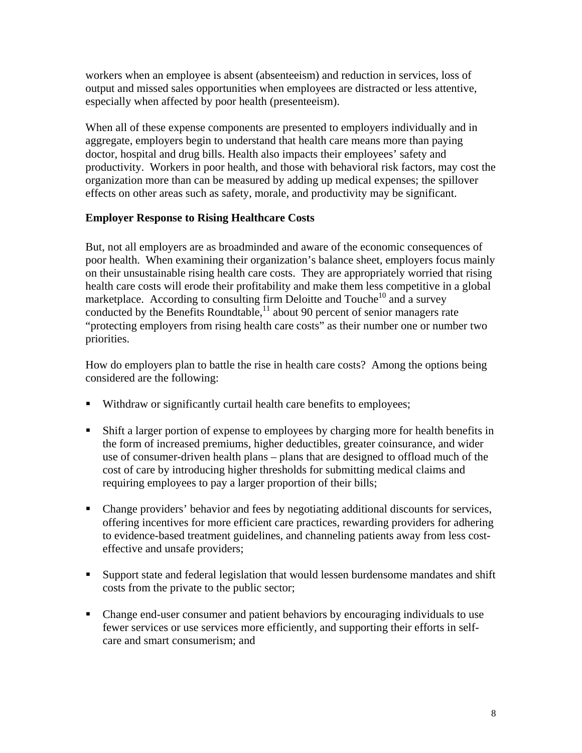workers when an employee is absent (absenteeism) and reduction in services, loss of output and missed sales opportunities when employees are distracted or less attentive, especially when affected by poor health (presenteeism).

When all of these expense components are presented to employers individually and in aggregate, employers begin to understand that health care means more than paying doctor, hospital and drug bills. Health also impacts their employees' safety and productivity. Workers in poor health, and those with behavioral risk factors, may cost the organization more than can be measured by adding up medical expenses; the spillover effects on other areas such as safety, morale, and productivity may be significant.

### **Employer Response to Rising Healthcare Costs**

But, not all employers are as broadminded and aware of the economic consequences of poor health. When examining their organization's balance sheet, employers focus mainly on their unsustainable rising health care costs. They are appropriately worried that rising health care costs will erode their profitability and make them less competitive in a global marketplace. According to consulting firm Deloitte and Touche<sup>10</sup> and a survey conducted by the Benefits Roundtable,<sup>11</sup> about 90 percent of senior managers rate "protecting employers from rising health care costs" as their number one or number two priorities.

How do employers plan to battle the rise in health care costs? Among the options being considered are the following:

- Withdraw or significantly curtail health care benefits to employees;
- Shift a larger portion of expense to employees by charging more for health benefits in the form of increased premiums, higher deductibles, greater coinsurance, and wider use of consumer-driven health plans – plans that are designed to offload much of the cost of care by introducing higher thresholds for submitting medical claims and requiring employees to pay a larger proportion of their bills;
- Change providers' behavior and fees by negotiating additional discounts for services, offering incentives for more efficient care practices, rewarding providers for adhering to evidence-based treatment guidelines, and channeling patients away from less costeffective and unsafe providers;
- Support state and federal legislation that would lessen burdensome mandates and shift costs from the private to the public sector;
- Change end-user consumer and patient behaviors by encouraging individuals to use fewer services or use services more efficiently, and supporting their efforts in selfcare and smart consumerism; and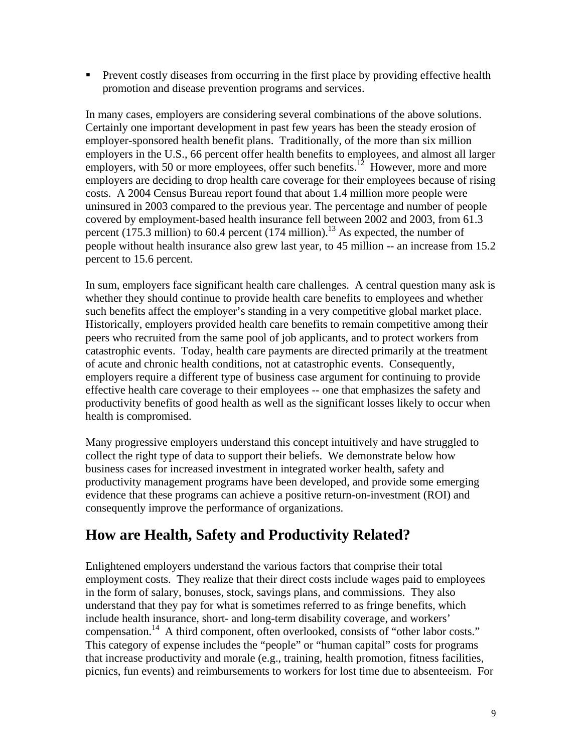**Prevent costly diseases from occurring in the first place by providing effective health** promotion and disease prevention programs and services.

In many cases, employers are considering several combinations of the above solutions. Certainly one important development in past few years has been the steady erosion of employer-sponsored health benefit plans. Traditionally, of the more than six million employers in the U.S., 66 percent offer health benefits to employees, and almost all larger employers, with 50 or more employees, offer such benefits.<sup>12</sup> However, more and more employers are deciding to drop health care coverage for their employees because of rising costs. A 2004 Census Bureau report found that about 1.4 million more people were uninsured in 2003 compared to the previous year. The percentage and number of people covered by employment-based health insurance fell between 2002 and 2003, from 61.3 percent (175.3 million) to 60.4 percent (174 million).<sup>13</sup> As expected, the number of people without health insurance also grew last year, to 45 million -- an increase from 15.2 percent to 15.6 percent.

In sum, employers face significant health care challenges. A central question many ask is whether they should continue to provide health care benefits to employees and whether such benefits affect the employer's standing in a very competitive global market place. Historically, employers provided health care benefits to remain competitive among their peers who recruited from the same pool of job applicants, and to protect workers from catastrophic events. Today, health care payments are directed primarily at the treatment of acute and chronic health conditions, not at catastrophic events. Consequently, employers require a different type of business case argument for continuing to provide effective health care coverage to their employees -- one that emphasizes the safety and productivity benefits of good health as well as the significant losses likely to occur when health is compromised.

Many progressive employers understand this concept intuitively and have struggled to collect the right type of data to support their beliefs. We demonstrate below how business cases for increased investment in integrated worker health, safety and productivity management programs have been developed, and provide some emerging evidence that these programs can achieve a positive return-on-investment (ROI) and consequently improve the performance of organizations.

# **How are Health, Safety and Productivity Related?**

Enlightened employers understand the various factors that comprise their total employment costs. They realize that their direct costs include wages paid to employees in the form of salary, bonuses, stock, savings plans, and commissions. They also understand that they pay for what is sometimes referred to as fringe benefits, which include health insurance, short- and long-term disability coverage, and workers' compensation.14 A third component, often overlooked, consists of "other labor costs." This category of expense includes the "people" or "human capital" costs for programs that increase productivity and morale (e.g., training, health promotion, fitness facilities, picnics, fun events) and reimbursements to workers for lost time due to absenteeism. For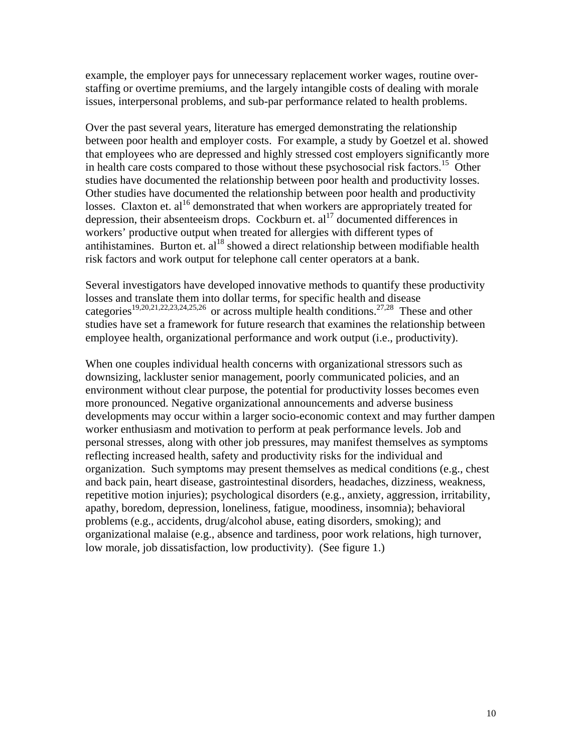example, the employer pays for unnecessary replacement worker wages, routine overstaffing or overtime premiums, and the largely intangible costs of dealing with morale issues, interpersonal problems, and sub-par performance related to health problems.

Over the past several years, literature has emerged demonstrating the relationship between poor health and employer costs. For example, a study by Goetzel et al. showed that employees who are depressed and highly stressed cost employers significantly more in health care costs compared to those without these psychosocial risk factors.<sup>15</sup> Other studies have documented the relationship between poor health and productivity losses. Other studies have documented the relationship between poor health and productivity losses. Claxton et. al<sup>16</sup> demonstrated that when workers are appropriately treated for depression, their absenteeism drops. Cockburn et.  $al<sup>17</sup>$  documented differences in workers' productive output when treated for allergies with different types of antihistamines. Burton et.  $al^{18}$  showed a direct relationship between modifiable health risk factors and work output for telephone call center operators at a bank.

Several investigators have developed innovative methods to quantify these productivity losses and translate them into dollar terms, for specific health and disease categories<sup>19,20,21,22,23,24,25,26</sup> or across multiple health conditions.<sup>27,28</sup> These and other studies have set a framework for future research that examines the relationship between employee health, organizational performance and work output (i.e., productivity).

When one couples individual health concerns with organizational stressors such as downsizing, lackluster senior management, poorly communicated policies, and an environment without clear purpose, the potential for productivity losses becomes even more pronounced. Negative organizational announcements and adverse business developments may occur within a larger socio-economic context and may further dampen worker enthusiasm and motivation to perform at peak performance levels. Job and personal stresses, along with other job pressures, may manifest themselves as symptoms reflecting increased health, safety and productivity risks for the individual and organization. Such symptoms may present themselves as medical conditions (e.g., chest and back pain, heart disease, gastrointestinal disorders, headaches, dizziness, weakness, repetitive motion injuries); psychological disorders (e.g., anxiety, aggression, irritability, apathy, boredom, depression, loneliness, fatigue, moodiness, insomnia); behavioral problems (e.g., accidents, drug/alcohol abuse, eating disorders, smoking); and organizational malaise (e.g., absence and tardiness, poor work relations, high turnover, low morale, job dissatisfaction, low productivity). (See figure 1.)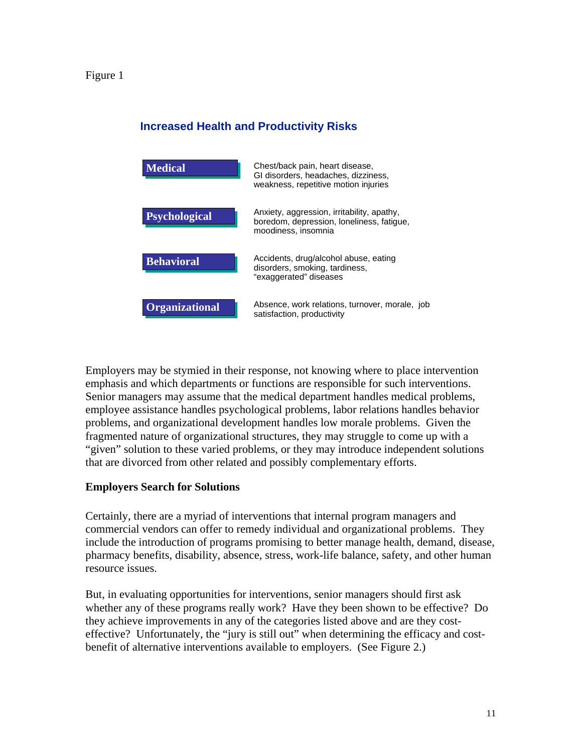Figure 1

## **Increased Health and Productivity Risks**



Employers may be stymied in their response, not knowing where to place intervention emphasis and which departments or functions are responsible for such interventions. Senior managers may assume that the medical department handles medical problems, employee assistance handles psychological problems, labor relations handles behavior problems, and organizational development handles low morale problems. Given the fragmented nature of organizational structures, they may struggle to come up with a "given" solution to these varied problems, or they may introduce independent solutions that are divorced from other related and possibly complementary efforts.

#### **Employers Search for Solutions**

Certainly, there are a myriad of interventions that internal program managers and commercial vendors can offer to remedy individual and organizational problems. They include the introduction of programs promising to better manage health, demand, disease, pharmacy benefits, disability, absence, stress, work-life balance, safety, and other human resource issues.

But, in evaluating opportunities for interventions, senior managers should first ask whether any of these programs really work? Have they been shown to be effective? Do they achieve improvements in any of the categories listed above and are they costeffective? Unfortunately, the "jury is still out" when determining the efficacy and costbenefit of alternative interventions available to employers. (See Figure 2.)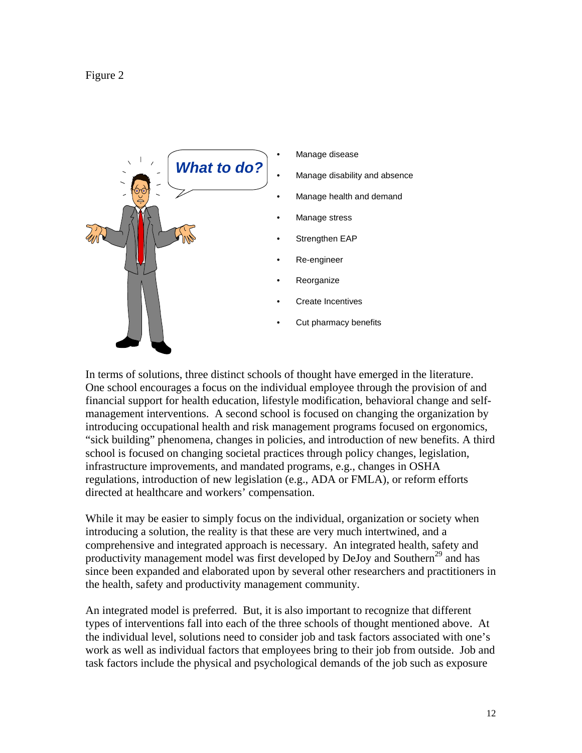



In terms of solutions, three distinct schools of thought have emerged in the literature. One school encourages a focus on the individual employee through the provision of and financial support for health education, lifestyle modification, behavioral change and selfmanagement interventions. A second school is focused on changing the organization by introducing occupational health and risk management programs focused on ergonomics, "sick building" phenomena, changes in policies, and introduction of new benefits. A third school is focused on changing societal practices through policy changes, legislation, infrastructure improvements, and mandated programs, e.g., changes in OSHA regulations, introduction of new legislation (e.g., ADA or FMLA), or reform efforts directed at healthcare and workers' compensation.

While it may be easier to simply focus on the individual, organization or society when introducing a solution, the reality is that these are very much intertwined, and a comprehensive and integrated approach is necessary. An integrated health, safety and productivity management model was first developed by DeJoy and Southern<sup>29</sup> and has since been expanded and elaborated upon by several other researchers and practitioners in the health, safety and productivity management community.

An integrated model is preferred. But, it is also important to recognize that different types of interventions fall into each of the three schools of thought mentioned above. At the individual level, solutions need to consider job and task factors associated with one's work as well as individual factors that employees bring to their job from outside. Job and task factors include the physical and psychological demands of the job such as exposure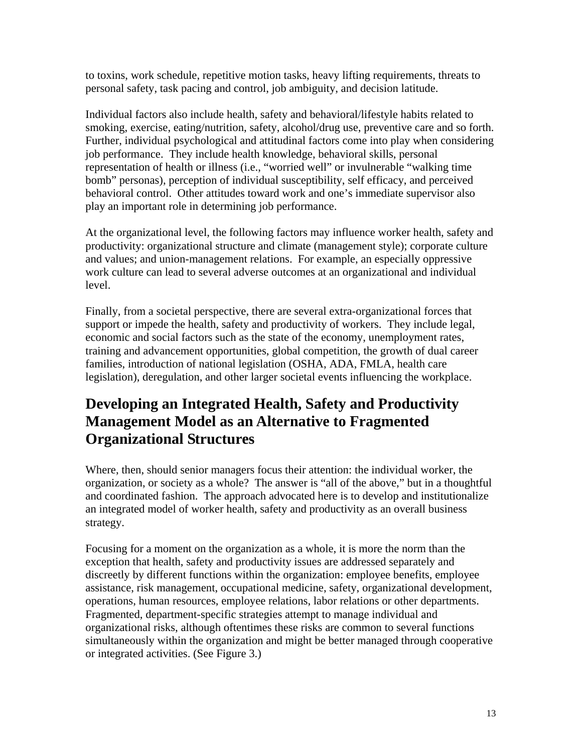to toxins, work schedule, repetitive motion tasks, heavy lifting requirements, threats to personal safety, task pacing and control, job ambiguity, and decision latitude.

Individual factors also include health, safety and behavioral/lifestyle habits related to smoking, exercise, eating/nutrition, safety, alcohol/drug use, preventive care and so forth. Further, individual psychological and attitudinal factors come into play when considering job performance. They include health knowledge, behavioral skills, personal representation of health or illness (i.e., "worried well" or invulnerable "walking time bomb" personas), perception of individual susceptibility, self efficacy, and perceived behavioral control. Other attitudes toward work and one's immediate supervisor also play an important role in determining job performance.

At the organizational level, the following factors may influence worker health, safety and productivity: organizational structure and climate (management style); corporate culture and values; and union-management relations. For example, an especially oppressive work culture can lead to several adverse outcomes at an organizational and individual level.

Finally, from a societal perspective, there are several extra-organizational forces that support or impede the health, safety and productivity of workers. They include legal, economic and social factors such as the state of the economy, unemployment rates, training and advancement opportunities, global competition, the growth of dual career families, introduction of national legislation (OSHA, ADA, FMLA, health care legislation), deregulation, and other larger societal events influencing the workplace.

# **Developing an Integrated Health, Safety and Productivity Management Model as an Alternative to Fragmented Organizational Structures**

Where, then, should senior managers focus their attention: the individual worker, the organization, or society as a whole? The answer is "all of the above," but in a thoughtful and coordinated fashion. The approach advocated here is to develop and institutionalize an integrated model of worker health, safety and productivity as an overall business strategy.

Focusing for a moment on the organization as a whole, it is more the norm than the exception that health, safety and productivity issues are addressed separately and discreetly by different functions within the organization: employee benefits, employee assistance, risk management, occupational medicine, safety, organizational development, operations, human resources, employee relations, labor relations or other departments. Fragmented, department-specific strategies attempt to manage individual and organizational risks, although oftentimes these risks are common to several functions simultaneously within the organization and might be better managed through cooperative or integrated activities. (See Figure 3.)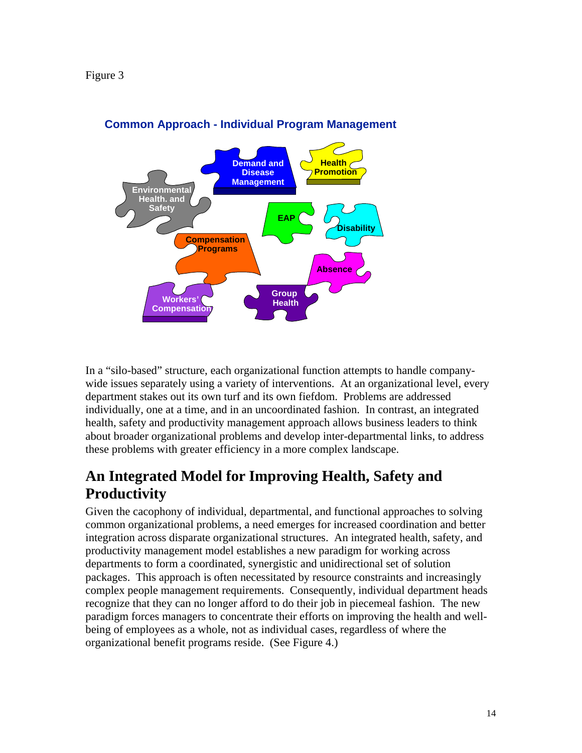

# **Common Approach - Individual Program Management**

In a "silo-based" structure, each organizational function attempts to handle companywide issues separately using a variety of interventions. At an organizational level, every department stakes out its own turf and its own fiefdom. Problems are addressed individually, one at a time, and in an uncoordinated fashion. In contrast, an integrated health, safety and productivity management approach allows business leaders to think about broader organizational problems and develop inter-departmental links, to address these problems with greater efficiency in a more complex landscape.

# **An Integrated Model for Improving Health, Safety and Productivity**

Given the cacophony of individual, departmental, and functional approaches to solving common organizational problems, a need emerges for increased coordination and better integration across disparate organizational structures. An integrated health, safety, and productivity management model establishes a new paradigm for working across departments to form a coordinated, synergistic and unidirectional set of solution packages. This approach is often necessitated by resource constraints and increasingly complex people management requirements. Consequently, individual department heads recognize that they can no longer afford to do their job in piecemeal fashion. The new paradigm forces managers to concentrate their efforts on improving the health and wellbeing of employees as a whole, not as individual cases, regardless of where the organizational benefit programs reside. (See Figure 4.)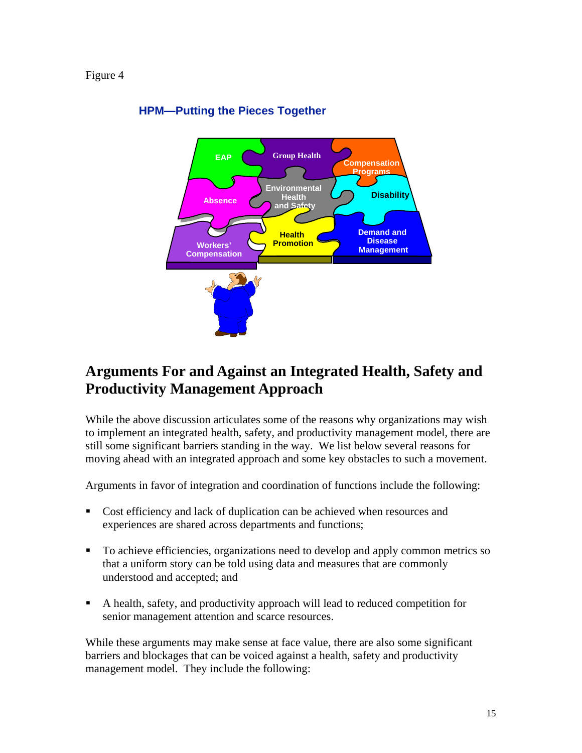#### Figure 4



# **HPM—Putting the Pieces Together**

# **Arguments For and Against an Integrated Health, Safety and Productivity Management Approach**

While the above discussion articulates some of the reasons why organizations may wish to implement an integrated health, safety, and productivity management model, there are still some significant barriers standing in the way. We list below several reasons for moving ahead with an integrated approach and some key obstacles to such a movement.

Arguments in favor of integration and coordination of functions include the following:

- Cost efficiency and lack of duplication can be achieved when resources and experiences are shared across departments and functions;
- To achieve efficiencies, organizations need to develop and apply common metrics so that a uniform story can be told using data and measures that are commonly understood and accepted; and
- A health, safety, and productivity approach will lead to reduced competition for senior management attention and scarce resources.

While these arguments may make sense at face value, there are also some significant barriers and blockages that can be voiced against a health, safety and productivity management model. They include the following: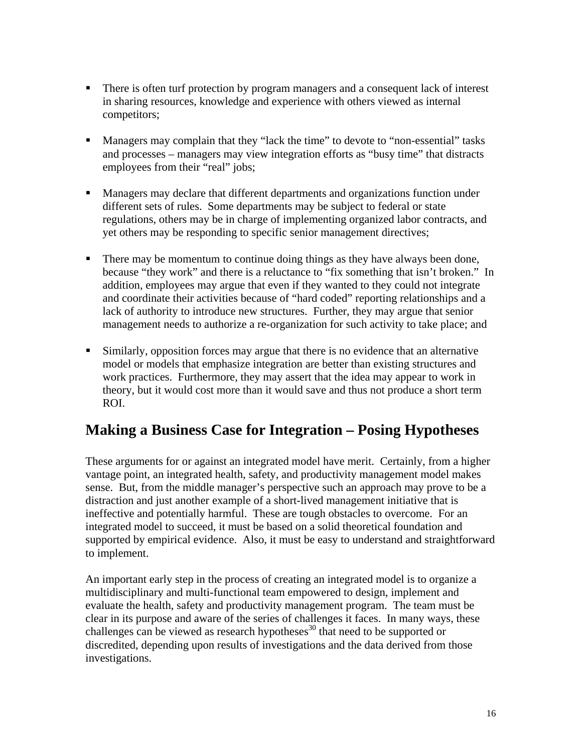- There is often turf protection by program managers and a consequent lack of interest in sharing resources, knowledge and experience with others viewed as internal competitors;
- Managers may complain that they "lack the time" to devote to "non-essential" tasks and processes – managers may view integration efforts as "busy time" that distracts employees from their "real" jobs;
- **Managers may declare that different departments and organizations function under** different sets of rules. Some departments may be subject to federal or state regulations, others may be in charge of implementing organized labor contracts, and yet others may be responding to specific senior management directives;
- **There may be momentum to continue doing things as they have always been done,** because "they work" and there is a reluctance to "fix something that isn't broken." In addition, employees may argue that even if they wanted to they could not integrate and coordinate their activities because of "hard coded" reporting relationships and a lack of authority to introduce new structures. Further, they may argue that senior management needs to authorize a re-organization for such activity to take place; and
- Similarly, opposition forces may argue that there is no evidence that an alternative model or models that emphasize integration are better than existing structures and work practices. Furthermore, they may assert that the idea may appear to work in theory, but it would cost more than it would save and thus not produce a short term ROI.

# **Making a Business Case for Integration – Posing Hypotheses**

These arguments for or against an integrated model have merit. Certainly, from a higher vantage point, an integrated health, safety, and productivity management model makes sense. But, from the middle manager's perspective such an approach may prove to be a distraction and just another example of a short-lived management initiative that is ineffective and potentially harmful. These are tough obstacles to overcome. For an integrated model to succeed, it must be based on a solid theoretical foundation and supported by empirical evidence. Also, it must be easy to understand and straightforward to implement.

An important early step in the process of creating an integrated model is to organize a multidisciplinary and multi-functional team empowered to design, implement and evaluate the health, safety and productivity management program. The team must be clear in its purpose and aware of the series of challenges it faces. In many ways, these challenges can be viewed as research hypotheses<sup>30</sup> that need to be supported or discredited, depending upon results of investigations and the data derived from those investigations.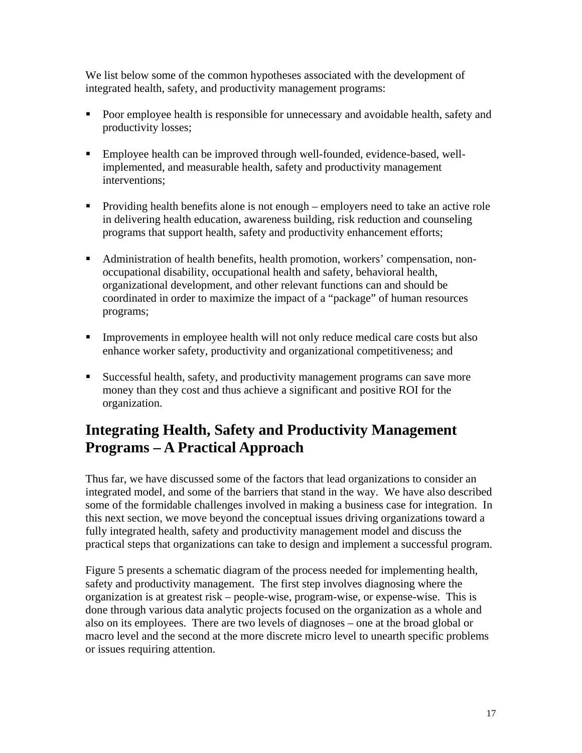We list below some of the common hypotheses associated with the development of integrated health, safety, and productivity management programs:

- **Poor employee health is responsible for unnecessary and avoidable health, safety and** productivity losses;
- Employee health can be improved through well-founded, evidence-based, wellimplemented, and measurable health, safety and productivity management interventions;
- Providing health benefits alone is not enough employers need to take an active role in delivering health education, awareness building, risk reduction and counseling programs that support health, safety and productivity enhancement efforts;
- Administration of health benefits, health promotion, workers' compensation, nonoccupational disability, occupational health and safety, behavioral health, organizational development, and other relevant functions can and should be coordinated in order to maximize the impact of a "package" of human resources programs;
- Improvements in employee health will not only reduce medical care costs but also enhance worker safety, productivity and organizational competitiveness; and
- Successful health, safety, and productivity management programs can save more money than they cost and thus achieve a significant and positive ROI for the organization.

# **Integrating Health, Safety and Productivity Management Programs – A Practical Approach**

Thus far, we have discussed some of the factors that lead organizations to consider an integrated model, and some of the barriers that stand in the way. We have also described some of the formidable challenges involved in making a business case for integration. In this next section, we move beyond the conceptual issues driving organizations toward a fully integrated health, safety and productivity management model and discuss the practical steps that organizations can take to design and implement a successful program.

Figure 5 presents a schematic diagram of the process needed for implementing health, safety and productivity management. The first step involves diagnosing where the organization is at greatest risk – people-wise, program-wise, or expense-wise. This is done through various data analytic projects focused on the organization as a whole and also on its employees. There are two levels of diagnoses – one at the broad global or macro level and the second at the more discrete micro level to unearth specific problems or issues requiring attention.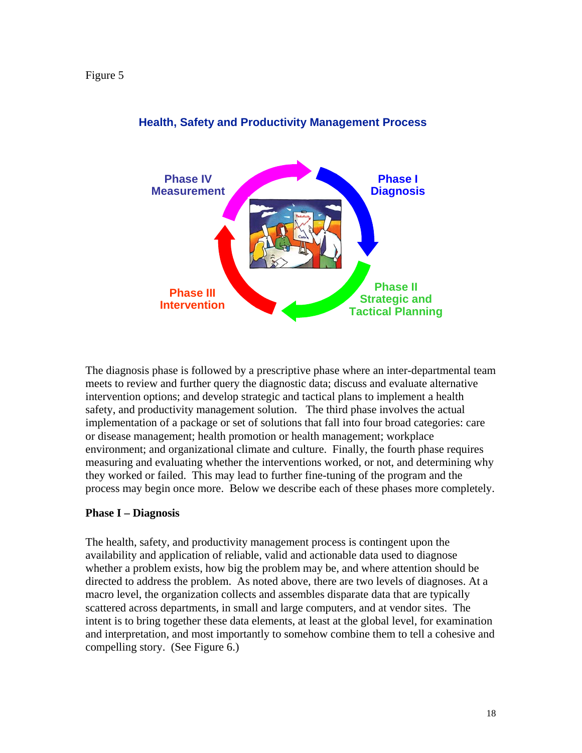

## **Health, Safety and Productivity Management Process**

The diagnosis phase is followed by a prescriptive phase where an inter-departmental team meets to review and further query the diagnostic data; discuss and evaluate alternative intervention options; and develop strategic and tactical plans to implement a health safety, and productivity management solution. The third phase involves the actual implementation of a package or set of solutions that fall into four broad categories: care or disease management; health promotion or health management; workplace environment; and organizational climate and culture. Finally, the fourth phase requires measuring and evaluating whether the interventions worked, or not, and determining why they worked or failed. This may lead to further fine-tuning of the program and the process may begin once more. Below we describe each of these phases more completely.

#### **Phase I – Diagnosis**

The health, safety, and productivity management process is contingent upon the availability and application of reliable, valid and actionable data used to diagnose whether a problem exists, how big the problem may be, and where attention should be directed to address the problem. As noted above, there are two levels of diagnoses. At a macro level, the organization collects and assembles disparate data that are typically scattered across departments, in small and large computers, and at vendor sites. The intent is to bring together these data elements, at least at the global level, for examination and interpretation, and most importantly to somehow combine them to tell a cohesive and compelling story. (See Figure 6.)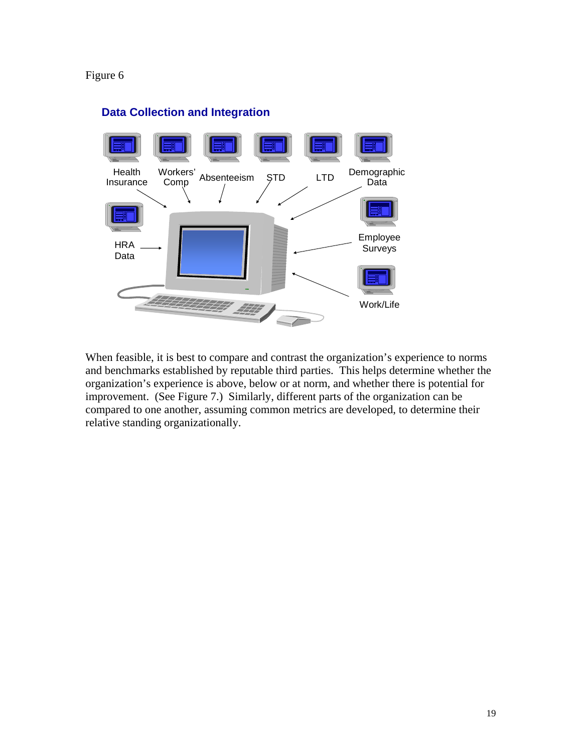#### Figure 6



# **Data Collection and Integration**

When feasible, it is best to compare and contrast the organization's experience to norms and benchmarks established by reputable third parties. This helps determine whether the organization's experience is above, below or at norm, and whether there is potential for improvement. (See Figure 7.) Similarly, different parts of the organization can be compared to one another, assuming common metrics are developed, to determine their relative standing organizationally.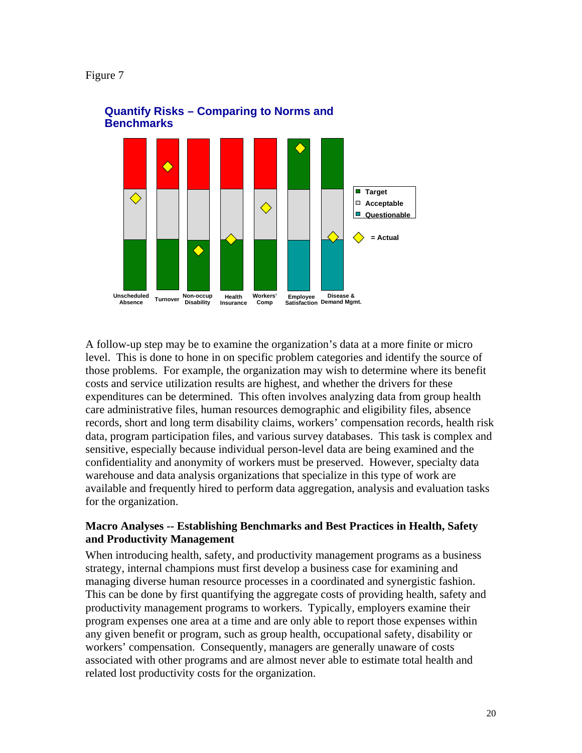



# **Quantify Risks – Comparing to Norms and Benchmarks**

A follow-up step may be to examine the organization's data at a more finite or micro level. This is done to hone in on specific problem categories and identify the source of those problems. For example, the organization may wish to determine where its benefit costs and service utilization results are highest, and whether the drivers for these expenditures can be determined. This often involves analyzing data from group health care administrative files, human resources demographic and eligibility files, absence records, short and long term disability claims, workers' compensation records, health risk data, program participation files, and various survey databases. This task is complex and sensitive, especially because individual person-level data are being examined and the confidentiality and anonymity of workers must be preserved. However, specialty data warehouse and data analysis organizations that specialize in this type of work are available and frequently hired to perform data aggregation, analysis and evaluation tasks for the organization.

### **Macro Analyses -- Establishing Benchmarks and Best Practices in Health, Safety and Productivity Management**

When introducing health, safety, and productivity management programs as a business strategy, internal champions must first develop a business case for examining and managing diverse human resource processes in a coordinated and synergistic fashion. This can be done by first quantifying the aggregate costs of providing health, safety and productivity management programs to workers. Typically, employers examine their program expenses one area at a time and are only able to report those expenses within any given benefit or program, such as group health, occupational safety, disability or workers' compensation. Consequently, managers are generally unaware of costs associated with other programs and are almost never able to estimate total health and related lost productivity costs for the organization.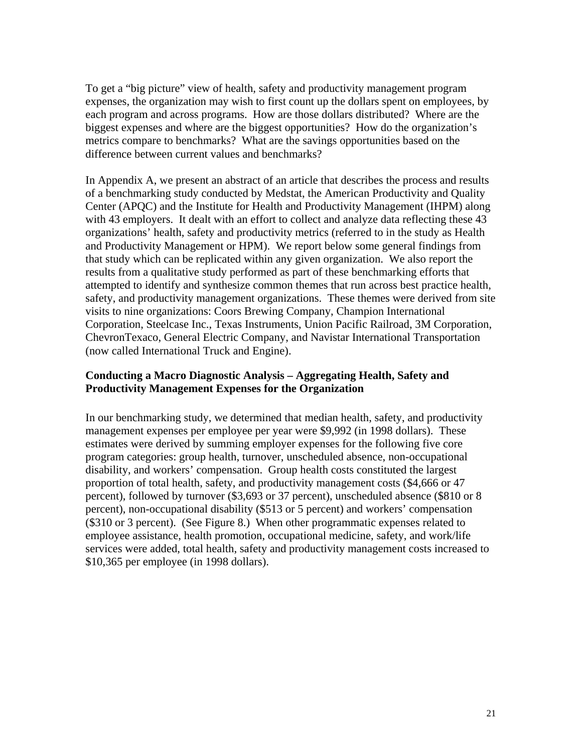To get a "big picture" view of health, safety and productivity management program expenses, the organization may wish to first count up the dollars spent on employees, by each program and across programs. How are those dollars distributed? Where are the biggest expenses and where are the biggest opportunities? How do the organization's metrics compare to benchmarks? What are the savings opportunities based on the difference between current values and benchmarks?

In Appendix A, we present an abstract of an article that describes the process and results of a benchmarking study conducted by Medstat, the American Productivity and Quality Center (APQC) and the Institute for Health and Productivity Management (IHPM) along with 43 employers. It dealt with an effort to collect and analyze data reflecting these 43 organizations' health, safety and productivity metrics (referred to in the study as Health and Productivity Management or HPM). We report below some general findings from that study which can be replicated within any given organization. We also report the results from a qualitative study performed as part of these benchmarking efforts that attempted to identify and synthesize common themes that run across best practice health, safety, and productivity management organizations. These themes were derived from site visits to nine organizations: Coors Brewing Company, Champion International Corporation, Steelcase Inc., Texas Instruments, Union Pacific Railroad, 3M Corporation, ChevronTexaco, General Electric Company, and Navistar International Transportation (now called International Truck and Engine).

#### **Conducting a Macro Diagnostic Analysis – Aggregating Health, Safety and Productivity Management Expenses for the Organization**

In our benchmarking study, we determined that median health, safety, and productivity management expenses per employee per year were \$9,992 (in 1998 dollars). These estimates were derived by summing employer expenses for the following five core program categories: group health, turnover, unscheduled absence, non-occupational disability, and workers' compensation. Group health costs constituted the largest proportion of total health, safety, and productivity management costs (\$4,666 or 47 percent), followed by turnover (\$3,693 or 37 percent), unscheduled absence (\$810 or 8 percent), non-occupational disability (\$513 or 5 percent) and workers' compensation (\$310 or 3 percent). (See Figure 8.) When other programmatic expenses related to employee assistance, health promotion, occupational medicine, safety, and work/life services were added, total health, safety and productivity management costs increased to \$10,365 per employee (in 1998 dollars).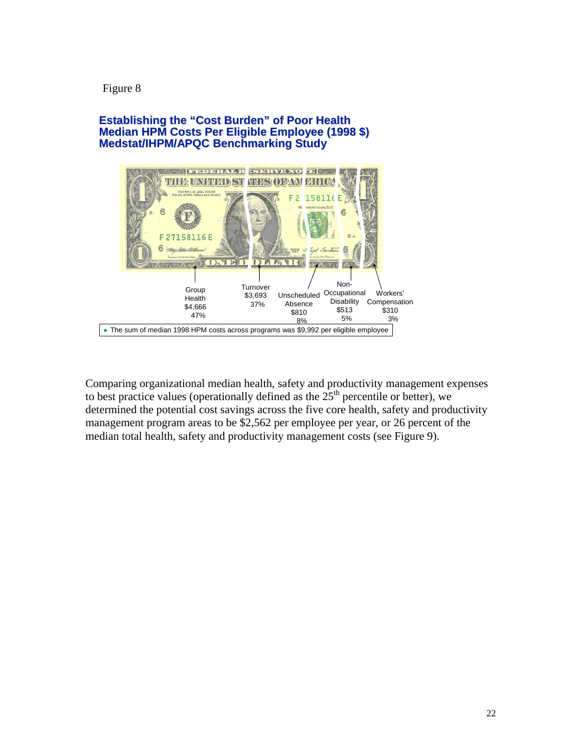#### Figure 8

#### **Establishing the "Cost Burden" of Poor Health Median HPM Costs Per Eligible Employee (1998 \$) Medstat/IHPM/APQC Benchmarking Study**



Comparing organizational median health, safety and productivity management expenses to best practice values (operationally defined as the  $25<sup>th</sup>$  percentile or better), we determined the potential cost savings across the five core health, safety and productivity management program areas to be \$2,562 per employee per year, or 26 percent of the median total health, safety and productivity management costs (see Figure 9).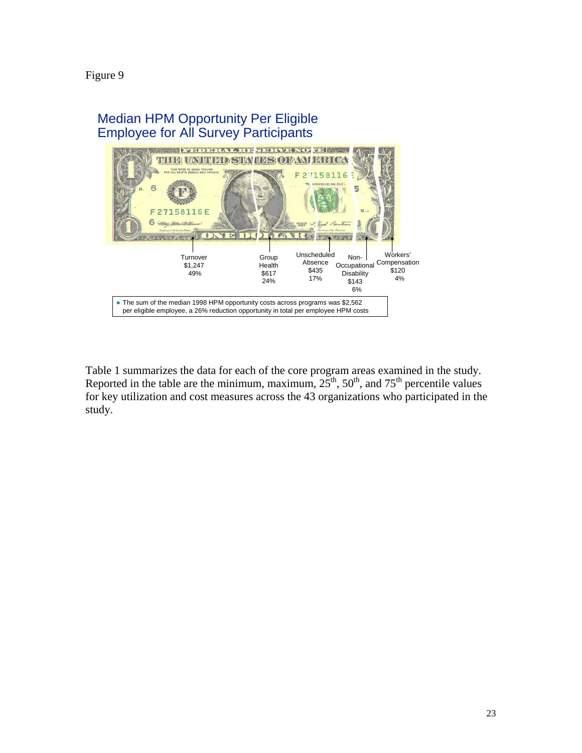Figure 9

#### Median HPM Opportunity Per Eligible Employee for All Survey Participants **EEDERAL RE-SERVE NOTE** HIG MARIED STAHES OF AM ERICA 158116  $\mathfrak{p}$ x.D.C.  $\overline{6}$ 꽿 27158116E F 6  $H$ Workers' Unscheduled Group Turnover Non-Absence Health Occupational Compensation \$1,247 \$435 \$120 49% \$617 **Disability** 17% 4% 24% \$143 6% • The sum of the median 1998 HPM opportunity costs across programs was \$2,562 per eligible employee, a 26% reduction opportunity in total per employee HPM costs

Table 1 summarizes the data for each of the core program areas examined in the study. Reported in the table are the minimum, maximum,  $25<sup>th</sup>$ ,  $50<sup>th</sup>$ , and  $75<sup>th</sup>$  percentile values for key utilization and cost measures across the 43 organizations who participated in the study.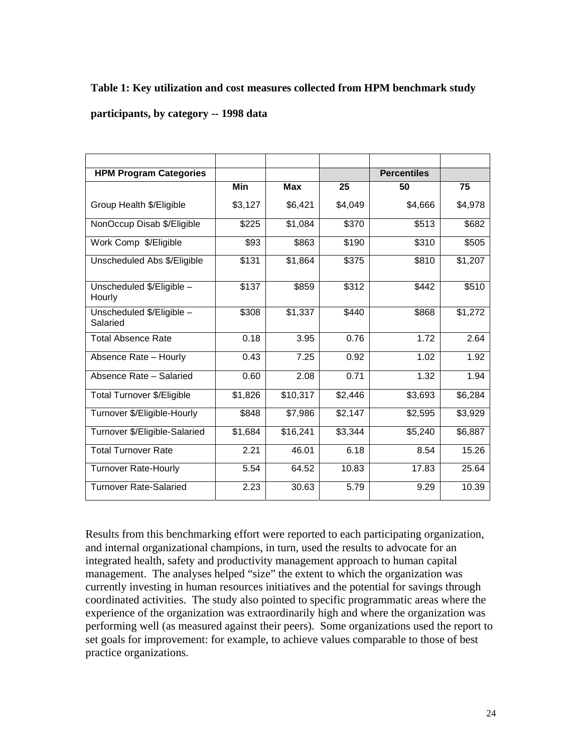#### **Table 1: Key utilization and cost measures collected from HPM benchmark study**

#### **participants, by category -- 1998 data**

| <b>HPM Program Categories</b>         |         |            |                   | <b>Percentiles</b> |         |
|---------------------------------------|---------|------------|-------------------|--------------------|---------|
|                                       | Min     | <b>Max</b> | 25                | 50                 | 75      |
| Group Health \$/Eligible              | \$3,127 | \$6,421    | \$4,049           | \$4,666            | \$4,978 |
| NonOccup Disab \$/Eligible            | \$225   | \$1,084    | \$370             | \$513              | \$682   |
| Work Comp \$/Eligible                 | \$93    | \$863      | \$190             | \$310              | \$505   |
| Unscheduled Abs \$/Eligible           | \$131   | \$1,864    | \$375             | \$810              | \$1,207 |
| Unscheduled \$/Eligible -<br>Hourly   | \$137   | \$859      | \$312             | \$442              | \$510   |
| Unscheduled \$/Eligible -<br>Salaried | \$308   | \$1,337    | $\overline{$}440$ | \$868              | \$1,272 |
| <b>Total Absence Rate</b>             | 0.18    | 3.95       | 0.76              | 1.72               | 2.64    |
| Absence Rate - Hourly                 | 0.43    | 7.25       | 0.92              | 1.02               | 1.92    |
| Absence Rate - Salaried               | 0.60    | 2.08       | 0.71              | 1.32               | 1.94    |
| Total Turnover \$/Eligible            | \$1,826 | \$10,317   | \$2,446           | \$3,693            | \$6,284 |
| Turnover \$/Eligible-Hourly           | \$848   | \$7,986    | \$2,147           | \$2,595            | \$3,929 |
| Turnover \$/Eligible-Salaried         | \$1,684 | \$16,241   | \$3,344           | \$5,240            | \$6,887 |
| <b>Total Turnover Rate</b>            | 2.21    | 46.01      | 6.18              | 8.54               | 15.26   |
| <b>Turnover Rate-Hourly</b>           | 5.54    | 64.52      | 10.83             | 17.83              | 25.64   |
| <b>Turnover Rate-Salaried</b>         | 2.23    | 30.63      | 5.79              | 9.29               | 10.39   |

Results from this benchmarking effort were reported to each participating organization, and internal organizational champions, in turn, used the results to advocate for an integrated health, safety and productivity management approach to human capital management. The analyses helped "size" the extent to which the organization was currently investing in human resources initiatives and the potential for savings through coordinated activities. The study also pointed to specific programmatic areas where the experience of the organization was extraordinarily high and where the organization was performing well (as measured against their peers). Some organizations used the report to set goals for improvement: for example, to achieve values comparable to those of best practice organizations.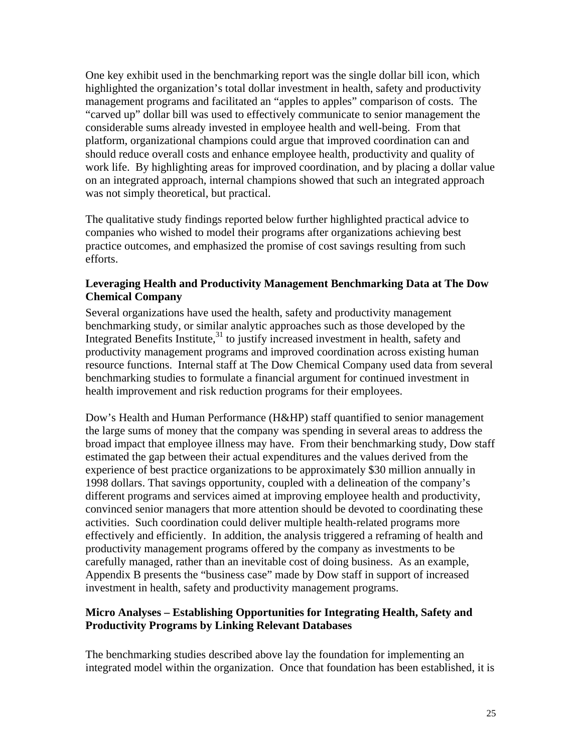One key exhibit used in the benchmarking report was the single dollar bill icon, which highlighted the organization's total dollar investment in health, safety and productivity management programs and facilitated an "apples to apples" comparison of costs. The "carved up" dollar bill was used to effectively communicate to senior management the considerable sums already invested in employee health and well-being. From that platform, organizational champions could argue that improved coordination can and should reduce overall costs and enhance employee health, productivity and quality of work life. By highlighting areas for improved coordination, and by placing a dollar value on an integrated approach, internal champions showed that such an integrated approach was not simply theoretical, but practical.

The qualitative study findings reported below further highlighted practical advice to companies who wished to model their programs after organizations achieving best practice outcomes, and emphasized the promise of cost savings resulting from such efforts.

#### **Leveraging Health and Productivity Management Benchmarking Data at The Dow Chemical Company**

Several organizations have used the health, safety and productivity management benchmarking study, or similar analytic approaches such as those developed by the Integrated Benefits Institute, $31$  to justify increased investment in health, safety and productivity management programs and improved coordination across existing human resource functions. Internal staff at The Dow Chemical Company used data from several benchmarking studies to formulate a financial argument for continued investment in health improvement and risk reduction programs for their employees.

Dow's Health and Human Performance (H&HP) staff quantified to senior management the large sums of money that the company was spending in several areas to address the broad impact that employee illness may have. From their benchmarking study, Dow staff estimated the gap between their actual expenditures and the values derived from the experience of best practice organizations to be approximately \$30 million annually in 1998 dollars. That savings opportunity, coupled with a delineation of the company's different programs and services aimed at improving employee health and productivity, convinced senior managers that more attention should be devoted to coordinating these activities. Such coordination could deliver multiple health-related programs more effectively and efficiently. In addition, the analysis triggered a reframing of health and productivity management programs offered by the company as investments to be carefully managed, rather than an inevitable cost of doing business. As an example, Appendix B presents the "business case" made by Dow staff in support of increased investment in health, safety and productivity management programs.

### **Micro Analyses – Establishing Opportunities for Integrating Health, Safety and Productivity Programs by Linking Relevant Databases**

The benchmarking studies described above lay the foundation for implementing an integrated model within the organization. Once that foundation has been established, it is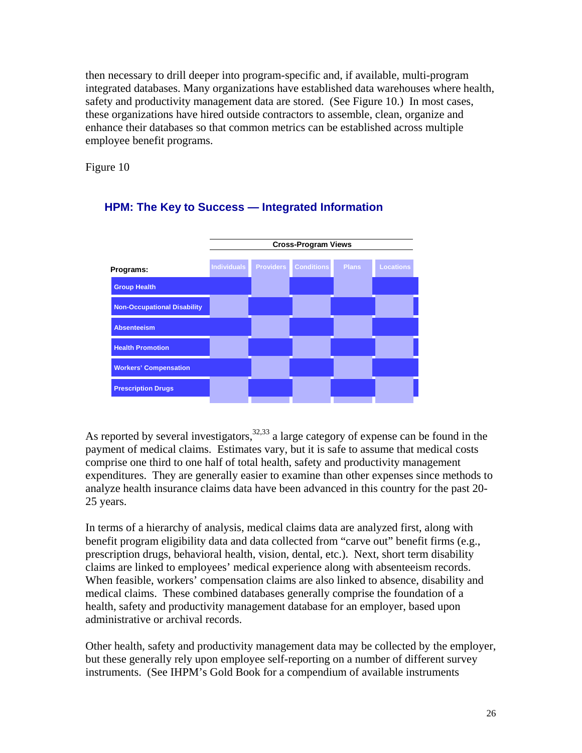then necessary to drill deeper into program-specific and, if available, multi-program integrated databases. Many organizations have established data warehouses where health, safety and productivity management data are stored. (See Figure 10.) In most cases, these organizations have hired outside contractors to assemble, clean, organize and enhance their databases so that common metrics can be established across multiple employee benefit programs.

Figure 10



# **HPM: The Key to Success — Integrated Information**

As reported by several investigators,  $32,33$  a large category of expense can be found in the payment of medical claims. Estimates vary, but it is safe to assume that medical costs comprise one third to one half of total health, safety and productivity management expenditures. They are generally easier to examine than other expenses since methods to analyze health insurance claims data have been advanced in this country for the past 20- 25 years.

In terms of a hierarchy of analysis, medical claims data are analyzed first, along with benefit program eligibility data and data collected from "carve out" benefit firms (e.g., prescription drugs, behavioral health, vision, dental, etc.). Next, short term disability claims are linked to employees' medical experience along with absenteeism records. When feasible, workers' compensation claims are also linked to absence, disability and medical claims. These combined databases generally comprise the foundation of a health, safety and productivity management database for an employer, based upon administrative or archival records.

Other health, safety and productivity management data may be collected by the employer, but these generally rely upon employee self-reporting on a number of different survey instruments. (See IHPM's Gold Book for a compendium of available instruments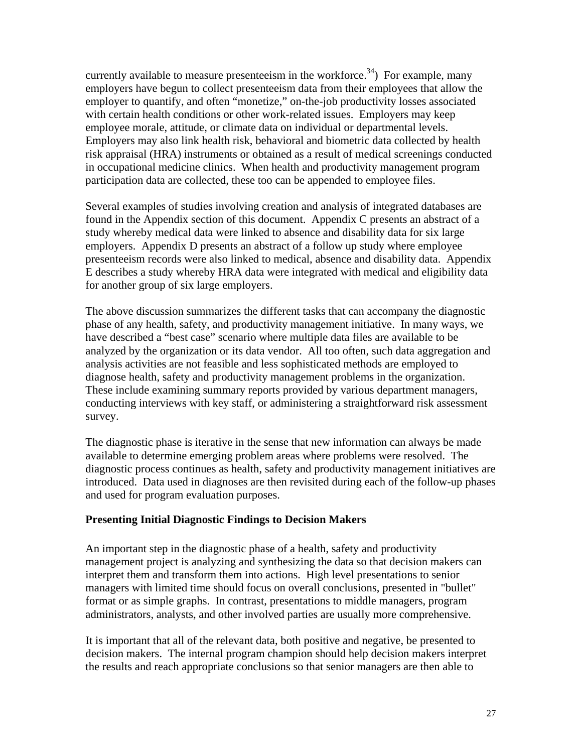currently available to measure presenteeism in the workforce.<sup>34</sup>) For example, many employers have begun to collect presenteeism data from their employees that allow the employer to quantify, and often "monetize," on-the-job productivity losses associated with certain health conditions or other work-related issues. Employers may keep employee morale, attitude, or climate data on individual or departmental levels. Employers may also link health risk, behavioral and biometric data collected by health risk appraisal (HRA) instruments or obtained as a result of medical screenings conducted in occupational medicine clinics. When health and productivity management program participation data are collected, these too can be appended to employee files.

Several examples of studies involving creation and analysis of integrated databases are found in the Appendix section of this document. Appendix C presents an abstract of a study whereby medical data were linked to absence and disability data for six large employers. Appendix D presents an abstract of a follow up study where employee presenteeism records were also linked to medical, absence and disability data. Appendix E describes a study whereby HRA data were integrated with medical and eligibility data for another group of six large employers.

The above discussion summarizes the different tasks that can accompany the diagnostic phase of any health, safety, and productivity management initiative. In many ways, we have described a "best case" scenario where multiple data files are available to be analyzed by the organization or its data vendor. All too often, such data aggregation and analysis activities are not feasible and less sophisticated methods are employed to diagnose health, safety and productivity management problems in the organization. These include examining summary reports provided by various department managers, conducting interviews with key staff, or administering a straightforward risk assessment survey.

The diagnostic phase is iterative in the sense that new information can always be made available to determine emerging problem areas where problems were resolved. The diagnostic process continues as health, safety and productivity management initiatives are introduced. Data used in diagnoses are then revisited during each of the follow-up phases and used for program evaluation purposes.

### **Presenting Initial Diagnostic Findings to Decision Makers**

An important step in the diagnostic phase of a health, safety and productivity management project is analyzing and synthesizing the data so that decision makers can interpret them and transform them into actions. High level presentations to senior managers with limited time should focus on overall conclusions, presented in "bullet" format or as simple graphs. In contrast, presentations to middle managers, program administrators, analysts, and other involved parties are usually more comprehensive.

It is important that all of the relevant data, both positive and negative, be presented to decision makers. The internal program champion should help decision makers interpret the results and reach appropriate conclusions so that senior managers are then able to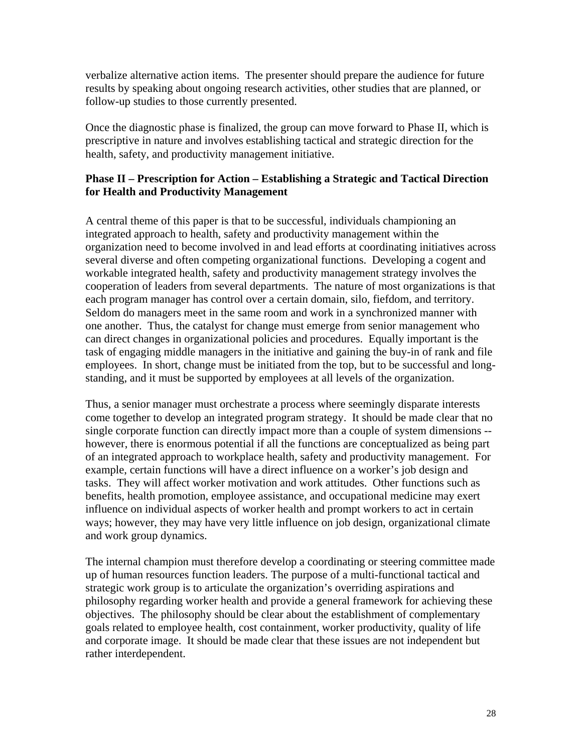verbalize alternative action items. The presenter should prepare the audience for future results by speaking about ongoing research activities, other studies that are planned, or follow-up studies to those currently presented.

Once the diagnostic phase is finalized, the group can move forward to Phase II, which is prescriptive in nature and involves establishing tactical and strategic direction for the health, safety, and productivity management initiative.

#### **Phase II – Prescription for Action – Establishing a Strategic and Tactical Direction for Health and Productivity Management**

A central theme of this paper is that to be successful, individuals championing an integrated approach to health, safety and productivity management within the organization need to become involved in and lead efforts at coordinating initiatives across several diverse and often competing organizational functions. Developing a cogent and workable integrated health, safety and productivity management strategy involves the cooperation of leaders from several departments. The nature of most organizations is that each program manager has control over a certain domain, silo, fiefdom, and territory. Seldom do managers meet in the same room and work in a synchronized manner with one another. Thus, the catalyst for change must emerge from senior management who can direct changes in organizational policies and procedures. Equally important is the task of engaging middle managers in the initiative and gaining the buy-in of rank and file employees. In short, change must be initiated from the top, but to be successful and longstanding, and it must be supported by employees at all levels of the organization.

Thus, a senior manager must orchestrate a process where seemingly disparate interests come together to develop an integrated program strategy. It should be made clear that no single corporate function can directly impact more than a couple of system dimensions - however, there is enormous potential if all the functions are conceptualized as being part of an integrated approach to workplace health, safety and productivity management. For example, certain functions will have a direct influence on a worker's job design and tasks. They will affect worker motivation and work attitudes. Other functions such as benefits, health promotion, employee assistance, and occupational medicine may exert influence on individual aspects of worker health and prompt workers to act in certain ways; however, they may have very little influence on job design, organizational climate and work group dynamics.

The internal champion must therefore develop a coordinating or steering committee made up of human resources function leaders. The purpose of a multi-functional tactical and strategic work group is to articulate the organization's overriding aspirations and philosophy regarding worker health and provide a general framework for achieving these objectives. The philosophy should be clear about the establishment of complementary goals related to employee health, cost containment, worker productivity, quality of life and corporate image. It should be made clear that these issues are not independent but rather interdependent.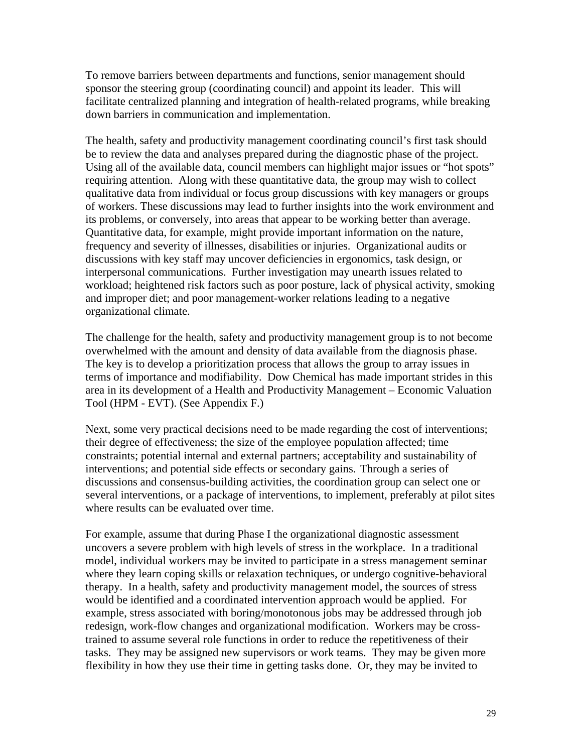To remove barriers between departments and functions, senior management should sponsor the steering group (coordinating council) and appoint its leader. This will facilitate centralized planning and integration of health-related programs, while breaking down barriers in communication and implementation.

The health, safety and productivity management coordinating council's first task should be to review the data and analyses prepared during the diagnostic phase of the project. Using all of the available data, council members can highlight major issues or "hot spots" requiring attention. Along with these quantitative data, the group may wish to collect qualitative data from individual or focus group discussions with key managers or groups of workers. These discussions may lead to further insights into the work environment and its problems, or conversely, into areas that appear to be working better than average. Quantitative data, for example, might provide important information on the nature, frequency and severity of illnesses, disabilities or injuries. Organizational audits or discussions with key staff may uncover deficiencies in ergonomics, task design, or interpersonal communications. Further investigation may unearth issues related to workload; heightened risk factors such as poor posture, lack of physical activity, smoking and improper diet; and poor management-worker relations leading to a negative organizational climate.

The challenge for the health, safety and productivity management group is to not become overwhelmed with the amount and density of data available from the diagnosis phase. The key is to develop a prioritization process that allows the group to array issues in terms of importance and modifiability. Dow Chemical has made important strides in this area in its development of a Health and Productivity Management – Economic Valuation Tool (HPM - EVT). (See Appendix F.)

Next, some very practical decisions need to be made regarding the cost of interventions; their degree of effectiveness; the size of the employee population affected; time constraints; potential internal and external partners; acceptability and sustainability of interventions; and potential side effects or secondary gains. Through a series of discussions and consensus-building activities, the coordination group can select one or several interventions, or a package of interventions, to implement, preferably at pilot sites where results can be evaluated over time.

For example, assume that during Phase I the organizational diagnostic assessment uncovers a severe problem with high levels of stress in the workplace. In a traditional model, individual workers may be invited to participate in a stress management seminar where they learn coping skills or relaxation techniques, or undergo cognitive-behavioral therapy. In a health, safety and productivity management model, the sources of stress would be identified and a coordinated intervention approach would be applied. For example, stress associated with boring/monotonous jobs may be addressed through job redesign, work-flow changes and organizational modification. Workers may be crosstrained to assume several role functions in order to reduce the repetitiveness of their tasks. They may be assigned new supervisors or work teams. They may be given more flexibility in how they use their time in getting tasks done. Or, they may be invited to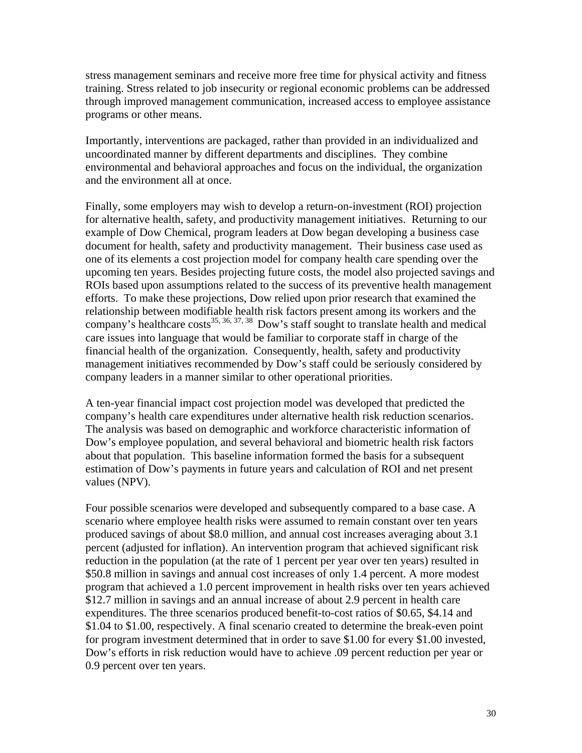stress management seminars and receive more free time for physical activity and fitness training. Stress related to job insecurity or regional economic problems can be addressed through improved management communication, increased access to employee assistance programs or other means.

Importantly, interventions are packaged, rather than provided in an individualized and uncoordinated manner by different departments and disciplines. They combine environmental and behavioral approaches and focus on the individual, the organization and the environment all at once.

Finally, some employers may wish to develop a return-on-investment (ROI) projection for alternative health, safety, and productivity management initiatives. Returning to our example of Dow Chemical, program leaders at Dow began developing a business case document for health, safety and productivity management. Their business case used as one of its elements a cost projection model for company health care spending over the upcoming ten years. Besides projecting future costs, the model also projected savings and ROIs based upon assumptions related to the success of its preventive health management efforts. To make these projections, Dow relied upon prior research that examined the relationship between modifiable health risk factors present among its workers and the company's healthcare costs<sup>35, 36, 37, 38</sup> Dow's staff sought to translate health and medical care issues into language that would be familiar to corporate staff in charge of the financial health of the organization. Consequently, health, safety and productivity management initiatives recommended by Dow's staff could be seriously considered by company leaders in a manner similar to other operational priorities.

A ten-year financial impact cost projection model was developed that predicted the company's health care expenditures under alternative health risk reduction scenarios. The analysis was based on demographic and workforce characteristic information of Dow's employee population, and several behavioral and biometric health risk factors about that population. This baseline information formed the basis for a subsequent estimation of Dow's payments in future years and calculation of ROI and net present values (NPV).

Four possible scenarios were developed and subsequently compared to a base case. A scenario where employee health risks were assumed to remain constant over ten years produced savings of about \$8.0 million, and annual cost increases averaging about 3.1 percent (adjusted for inflation). An intervention program that achieved significant risk reduction in the population (at the rate of 1 percent per year over ten years) resulted in \$50.8 million in savings and annual cost increases of only 1.4 percent. A more modest program that achieved a 1.0 percent improvement in health risks over ten years achieved \$12.7 million in savings and an annual increase of about 2.9 percent in health care expenditures. The three scenarios produced benefit-to-cost ratios of \$0.65, \$4.14 and \$1.04 to \$1.00, respectively. A final scenario created to determine the break-even point for program investment determined that in order to save \$1.00 for every \$1.00 invested, Dow's efforts in risk reduction would have to achieve .09 percent reduction per year or 0.9 percent over ten years.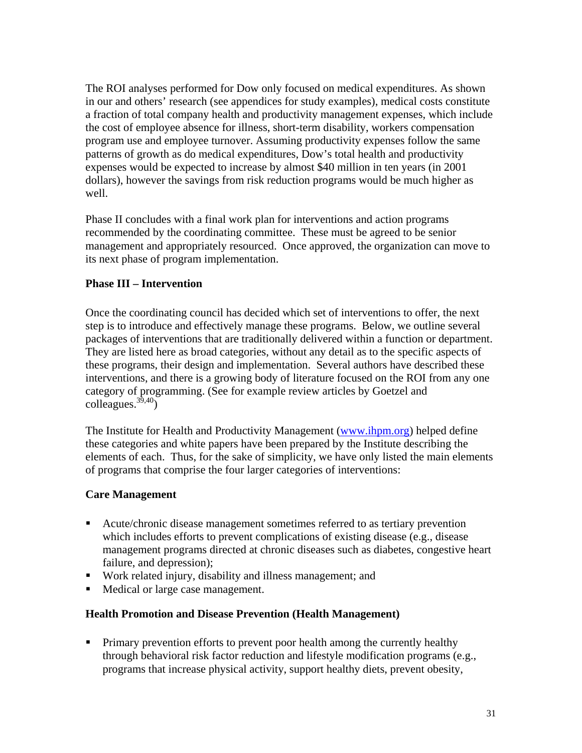The ROI analyses performed for Dow only focused on medical expenditures. As shown in our and others' research (see appendices for study examples), medical costs constitute a fraction of total company health and productivity management expenses, which include the cost of employee absence for illness, short-term disability, workers compensation program use and employee turnover. Assuming productivity expenses follow the same patterns of growth as do medical expenditures, Dow's total health and productivity expenses would be expected to increase by almost \$40 million in ten years (in 2001 dollars), however the savings from risk reduction programs would be much higher as well.

Phase II concludes with a final work plan for interventions and action programs recommended by the coordinating committee. These must be agreed to be senior management and appropriately resourced. Once approved, the organization can move to its next phase of program implementation.

### **Phase III – Intervention**

Once the coordinating council has decided which set of interventions to offer, the next step is to introduce and effectively manage these programs. Below, we outline several packages of interventions that are traditionally delivered within a function or department. They are listed here as broad categories, without any detail as to the specific aspects of these programs, their design and implementation. Several authors have described these interventions, and there is a growing body of literature focused on the ROI from any one category of programming. (See for example review articles by Goetzel and  $\text{collapse.}^{39,40}$ 

The Institute for Health and Productivity Management (www.ihpm.org) helped define these categories and white papers have been prepared by the Institute describing the elements of each. Thus, for the sake of simplicity, we have only listed the main elements of programs that comprise the four larger categories of interventions:

### **Care Management**

- Acute/chronic disease management sometimes referred to as tertiary prevention which includes efforts to prevent complications of existing disease (e.g., disease management programs directed at chronic diseases such as diabetes, congestive heart failure, and depression);
- Work related injury, disability and illness management; and
- Medical or large case management.

#### **Health Promotion and Disease Prevention (Health Management)**

**Primary prevention efforts to prevent poor health among the currently healthy** through behavioral risk factor reduction and lifestyle modification programs (e.g., programs that increase physical activity, support healthy diets, prevent obesity,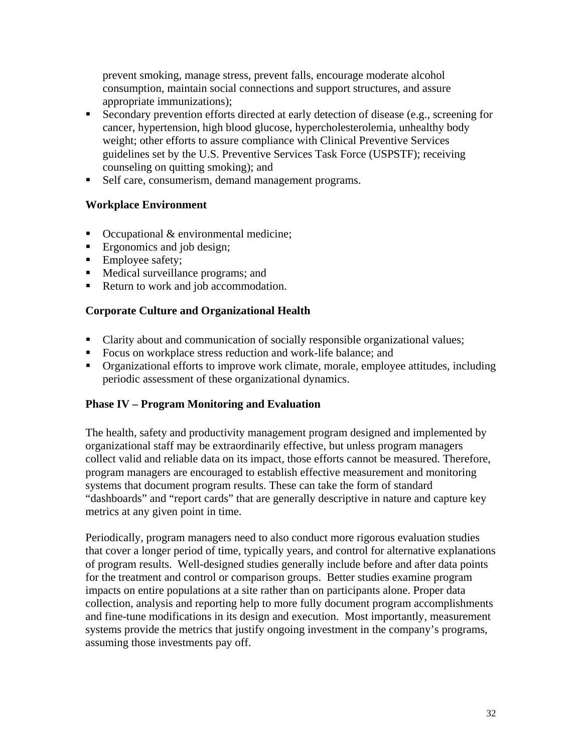prevent smoking, manage stress, prevent falls, encourage moderate alcohol consumption, maintain social connections and support structures, and assure appropriate immunizations);

- Secondary prevention efforts directed at early detection of disease (e.g., screening for cancer, hypertension, high blood glucose, hypercholesterolemia, unhealthy body weight; other efforts to assure compliance with Clinical Preventive Services guidelines set by the U.S. Preventive Services Task Force (USPSTF); receiving counseling on quitting smoking); and
- Self care, consumerism, demand management programs.

# **Workplace Environment**

- Occupational & environmental medicine;
- Ergonomics and job design;
- Employee safety;
- Medical surveillance programs; and
- Return to work and job accommodation.

# **Corporate Culture and Organizational Health**

- Clarity about and communication of socially responsible organizational values;
- Focus on workplace stress reduction and work-life balance; and
- Organizational efforts to improve work climate, morale, employee attitudes, including periodic assessment of these organizational dynamics.

### **Phase IV – Program Monitoring and Evaluation**

The health, safety and productivity management program designed and implemented by organizational staff may be extraordinarily effective, but unless program managers collect valid and reliable data on its impact, those efforts cannot be measured. Therefore, program managers are encouraged to establish effective measurement and monitoring systems that document program results. These can take the form of standard "dashboards" and "report cards" that are generally descriptive in nature and capture key metrics at any given point in time.

Periodically, program managers need to also conduct more rigorous evaluation studies that cover a longer period of time, typically years, and control for alternative explanations of program results. Well-designed studies generally include before and after data points for the treatment and control or comparison groups. Better studies examine program impacts on entire populations at a site rather than on participants alone. Proper data collection, analysis and reporting help to more fully document program accomplishments and fine-tune modifications in its design and execution. Most importantly, measurement systems provide the metrics that justify ongoing investment in the company's programs, assuming those investments pay off.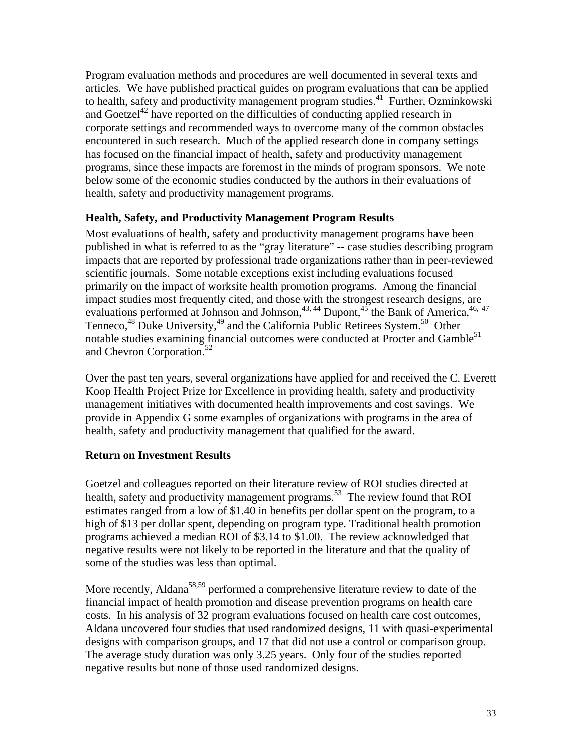Program evaluation methods and procedures are well documented in several texts and articles. We have published practical guides on program evaluations that can be applied to health, safety and productivity management program studies.<sup>41</sup> Further, Ozminkowski and Goetzel<sup>42</sup> have reported on the difficulties of conducting applied research in corporate settings and recommended ways to overcome many of the common obstacles encountered in such research. Much of the applied research done in company settings has focused on the financial impact of health, safety and productivity management programs, since these impacts are foremost in the minds of program sponsors. We note below some of the economic studies conducted by the authors in their evaluations of health, safety and productivity management programs.

### **Health, Safety, and Productivity Management Program Results**

Most evaluations of health, safety and productivity management programs have been published in what is referred to as the "gray literature" -- case studies describing program impacts that are reported by professional trade organizations rather than in peer-reviewed scientific journals. Some notable exceptions exist including evaluations focused primarily on the impact of worksite health promotion programs. Among the financial impact studies most frequently cited, and those with the strongest research designs, are evaluations performed at Johnson and Johnson,  $43, 44$  Dupont,  $45$  the Bank of America,  $46, 47$ Tenneco, $48$  Duke University, $49$  and the California Public Retirees System.<sup>50</sup> Other notable studies examining financial outcomes were conducted at Procter and Gamble<sup>51</sup> and Chevron Corporation.52

Over the past ten years, several organizations have applied for and received the C. Everett Koop Health Project Prize for Excellence in providing health, safety and productivity management initiatives with documented health improvements and cost savings. We provide in Appendix G some examples of organizations with programs in the area of health, safety and productivity management that qualified for the award.

# **Return on Investment Results**

Goetzel and colleagues reported on their literature review of ROI studies directed at health, safety and productivity management programs.<sup>53</sup> The review found that ROI estimates ranged from a low of \$1.40 in benefits per dollar spent on the program, to a high of \$13 per dollar spent, depending on program type. Traditional health promotion programs achieved a median ROI of \$3.14 to \$1.00. The review acknowledged that negative results were not likely to be reported in the literature and that the quality of some of the studies was less than optimal.

More recently, Aldana<sup>58,59</sup> performed a comprehensive literature review to date of the financial impact of health promotion and disease prevention programs on health care costs. In his analysis of 32 program evaluations focused on health care cost outcomes, Aldana uncovered four studies that used randomized designs, 11 with quasi-experimental designs with comparison groups, and 17 that did not use a control or comparison group. The average study duration was only 3.25 years. Only four of the studies reported negative results but none of those used randomized designs.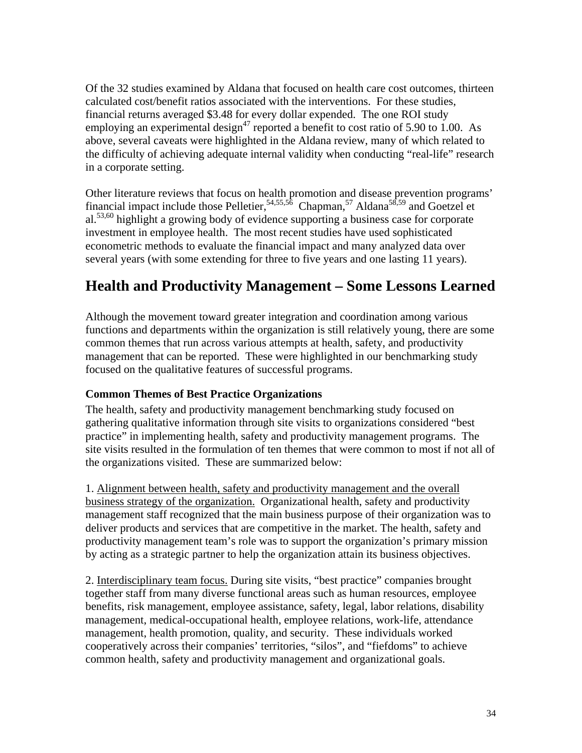Of the 32 studies examined by Aldana that focused on health care cost outcomes, thirteen calculated cost/benefit ratios associated with the interventions. For these studies, financial returns averaged \$3.48 for every dollar expended. The one ROI study employing an experimental design<sup>47</sup> reported a benefit to cost ratio of 5.90 to 1.00. As above, several caveats were highlighted in the Aldana review, many of which related to the difficulty of achieving adequate internal validity when conducting "real-life" research in a corporate setting.

Other literature reviews that focus on health promotion and disease prevention programs' financial impact include those Pelletier, $54,55,56$  Chapman, $57$  Aldana $58,59$  and Goetzel et al.<sup>53,60</sup> highlight a growing body of evidence supporting a business case for corporate investment in employee health. The most recent studies have used sophisticated econometric methods to evaluate the financial impact and many analyzed data over several years (with some extending for three to five years and one lasting 11 years).

# **Health and Productivity Management – Some Lessons Learned**

Although the movement toward greater integration and coordination among various functions and departments within the organization is still relatively young, there are some common themes that run across various attempts at health, safety, and productivity management that can be reported. These were highlighted in our benchmarking study focused on the qualitative features of successful programs.

### **Common Themes of Best Practice Organizations**

The health, safety and productivity management benchmarking study focused on gathering qualitative information through site visits to organizations considered "best practice" in implementing health, safety and productivity management programs. The site visits resulted in the formulation of ten themes that were common to most if not all of the organizations visited. These are summarized below:

1. Alignment between health, safety and productivity management and the overall business strategy of the organization. Organizational health, safety and productivity management staff recognized that the main business purpose of their organization was to deliver products and services that are competitive in the market. The health, safety and productivity management team's role was to support the organization's primary mission by acting as a strategic partner to help the organization attain its business objectives.

2. Interdisciplinary team focus. During site visits, "best practice" companies brought together staff from many diverse functional areas such as human resources, employee benefits, risk management, employee assistance, safety, legal, labor relations, disability management, medical-occupational health, employee relations, work-life, attendance management, health promotion, quality, and security. These individuals worked cooperatively across their companies' territories, "silos", and "fiefdoms" to achieve common health, safety and productivity management and organizational goals.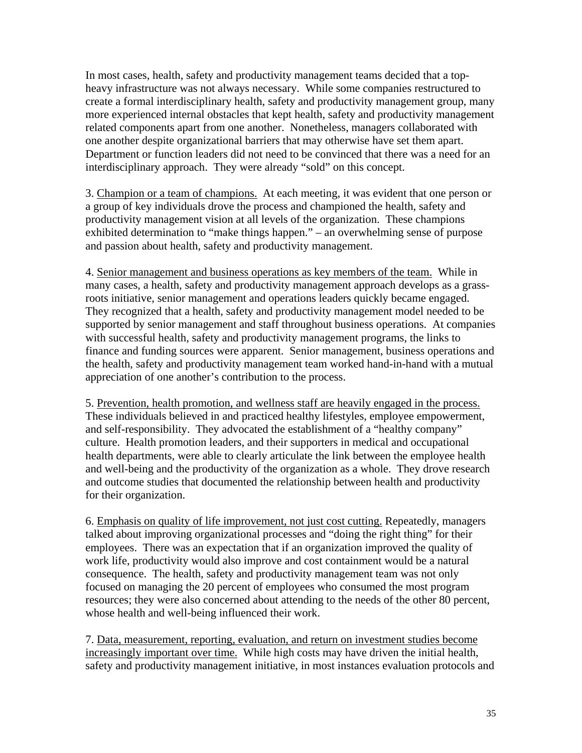In most cases, health, safety and productivity management teams decided that a topheavy infrastructure was not always necessary. While some companies restructured to create a formal interdisciplinary health, safety and productivity management group, many more experienced internal obstacles that kept health, safety and productivity management related components apart from one another. Nonetheless, managers collaborated with one another despite organizational barriers that may otherwise have set them apart. Department or function leaders did not need to be convinced that there was a need for an interdisciplinary approach. They were already "sold" on this concept.

3. Champion or a team of champions. At each meeting, it was evident that one person or a group of key individuals drove the process and championed the health, safety and productivity management vision at all levels of the organization. These champions exhibited determination to "make things happen." – an overwhelming sense of purpose and passion about health, safety and productivity management.

4. Senior management and business operations as key members of the team. While in many cases, a health, safety and productivity management approach develops as a grassroots initiative, senior management and operations leaders quickly became engaged. They recognized that a health, safety and productivity management model needed to be supported by senior management and staff throughout business operations. At companies with successful health, safety and productivity management programs, the links to finance and funding sources were apparent. Senior management, business operations and the health, safety and productivity management team worked hand-in-hand with a mutual appreciation of one another's contribution to the process.

5. Prevention, health promotion, and wellness staff are heavily engaged in the process. These individuals believed in and practiced healthy lifestyles, employee empowerment, and self-responsibility. They advocated the establishment of a "healthy company" culture. Health promotion leaders, and their supporters in medical and occupational health departments, were able to clearly articulate the link between the employee health and well-being and the productivity of the organization as a whole. They drove research and outcome studies that documented the relationship between health and productivity for their organization.

6. Emphasis on quality of life improvement, not just cost cutting. Repeatedly, managers talked about improving organizational processes and "doing the right thing" for their employees. There was an expectation that if an organization improved the quality of work life, productivity would also improve and cost containment would be a natural consequence. The health, safety and productivity management team was not only focused on managing the 20 percent of employees who consumed the most program resources; they were also concerned about attending to the needs of the other 80 percent, whose health and well-being influenced their work.

7. Data, measurement, reporting, evaluation, and return on investment studies become increasingly important over time. While high costs may have driven the initial health, safety and productivity management initiative, in most instances evaluation protocols and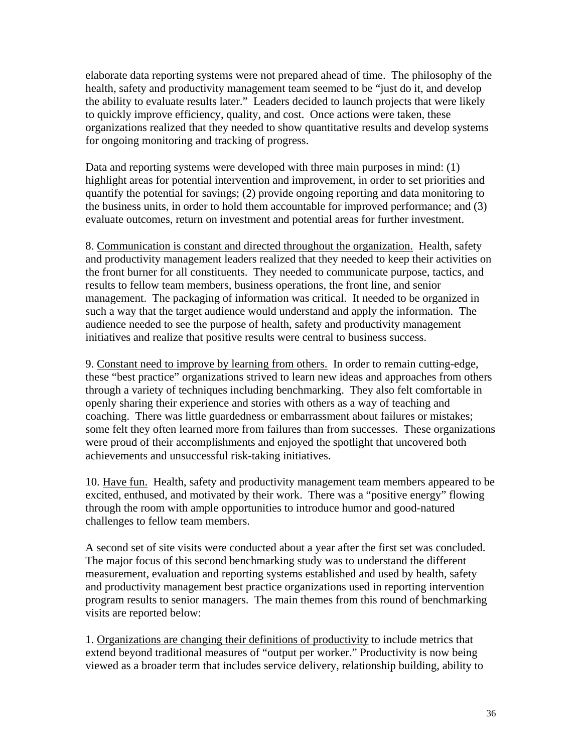elaborate data reporting systems were not prepared ahead of time. The philosophy of the health, safety and productivity management team seemed to be "just do it, and develop the ability to evaluate results later." Leaders decided to launch projects that were likely to quickly improve efficiency, quality, and cost. Once actions were taken, these organizations realized that they needed to show quantitative results and develop systems for ongoing monitoring and tracking of progress.

Data and reporting systems were developed with three main purposes in mind: (1) highlight areas for potential intervention and improvement, in order to set priorities and quantify the potential for savings; (2) provide ongoing reporting and data monitoring to the business units, in order to hold them accountable for improved performance; and (3) evaluate outcomes, return on investment and potential areas for further investment.

8. Communication is constant and directed throughout the organization. Health, safety and productivity management leaders realized that they needed to keep their activities on the front burner for all constituents. They needed to communicate purpose, tactics, and results to fellow team members, business operations, the front line, and senior management. The packaging of information was critical. It needed to be organized in such a way that the target audience would understand and apply the information. The audience needed to see the purpose of health, safety and productivity management initiatives and realize that positive results were central to business success.

9. Constant need to improve by learning from others. In order to remain cutting-edge, these "best practice" organizations strived to learn new ideas and approaches from others through a variety of techniques including benchmarking. They also felt comfortable in openly sharing their experience and stories with others as a way of teaching and coaching. There was little guardedness or embarrassment about failures or mistakes; some felt they often learned more from failures than from successes. These organizations were proud of their accomplishments and enjoyed the spotlight that uncovered both achievements and unsuccessful risk-taking initiatives.

10. Have fun. Health, safety and productivity management team members appeared to be excited, enthused, and motivated by their work. There was a "positive energy" flowing through the room with ample opportunities to introduce humor and good-natured challenges to fellow team members.

A second set of site visits were conducted about a year after the first set was concluded. The major focus of this second benchmarking study was to understand the different measurement, evaluation and reporting systems established and used by health, safety and productivity management best practice organizations used in reporting intervention program results to senior managers. The main themes from this round of benchmarking visits are reported below:

1. Organizations are changing their definitions of productivity to include metrics that extend beyond traditional measures of "output per worker." Productivity is now being viewed as a broader term that includes service delivery, relationship building, ability to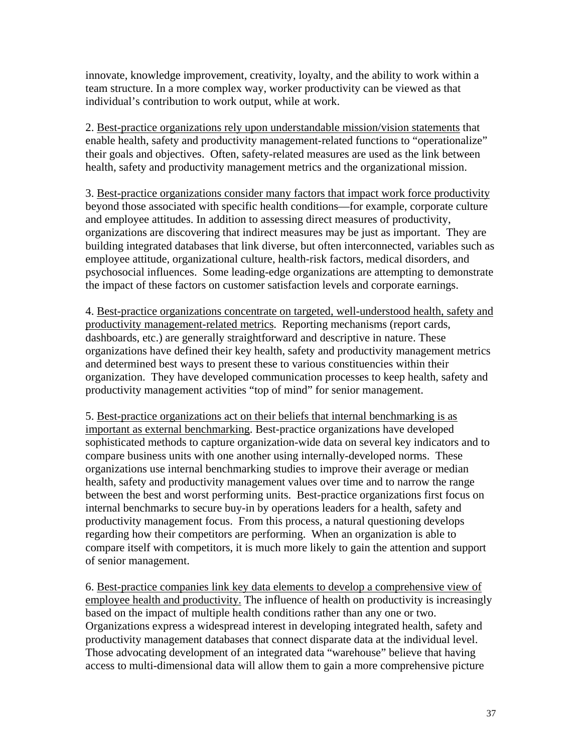innovate, knowledge improvement, creativity, loyalty, and the ability to work within a team structure. In a more complex way, worker productivity can be viewed as that individual's contribution to work output, while at work.

2. Best-practice organizations rely upon understandable mission/vision statements that enable health, safety and productivity management-related functions to "operationalize" their goals and objectives. Often, safety-related measures are used as the link between health, safety and productivity management metrics and the organizational mission.

3. Best-practice organizations consider many factors that impact work force productivity beyond those associated with specific health conditions—for example, corporate culture and employee attitudes. In addition to assessing direct measures of productivity, organizations are discovering that indirect measures may be just as important. They are building integrated databases that link diverse, but often interconnected, variables such as employee attitude, organizational culture, health-risk factors, medical disorders, and psychosocial influences. Some leading-edge organizations are attempting to demonstrate the impact of these factors on customer satisfaction levels and corporate earnings.

4. Best-practice organizations concentrate on targeted, well-understood health, safety and productivity management-related metrics. Reporting mechanisms (report cards, dashboards, etc.) are generally straightforward and descriptive in nature. These organizations have defined their key health, safety and productivity management metrics and determined best ways to present these to various constituencies within their organization. They have developed communication processes to keep health, safety and productivity management activities "top of mind" for senior management.

5. Best-practice organizations act on their beliefs that internal benchmarking is as important as external benchmarking. Best-practice organizations have developed sophisticated methods to capture organization-wide data on several key indicators and to compare business units with one another using internally-developed norms. These organizations use internal benchmarking studies to improve their average or median health, safety and productivity management values over time and to narrow the range between the best and worst performing units. Best-practice organizations first focus on internal benchmarks to secure buy-in by operations leaders for a health, safety and productivity management focus. From this process, a natural questioning develops regarding how their competitors are performing. When an organization is able to compare itself with competitors, it is much more likely to gain the attention and support of senior management.

6. Best-practice companies link key data elements to develop a comprehensive view of employee health and productivity. The influence of health on productivity is increasingly based on the impact of multiple health conditions rather than any one or two. Organizations express a widespread interest in developing integrated health, safety and productivity management databases that connect disparate data at the individual level. Those advocating development of an integrated data "warehouse" believe that having access to multi-dimensional data will allow them to gain a more comprehensive picture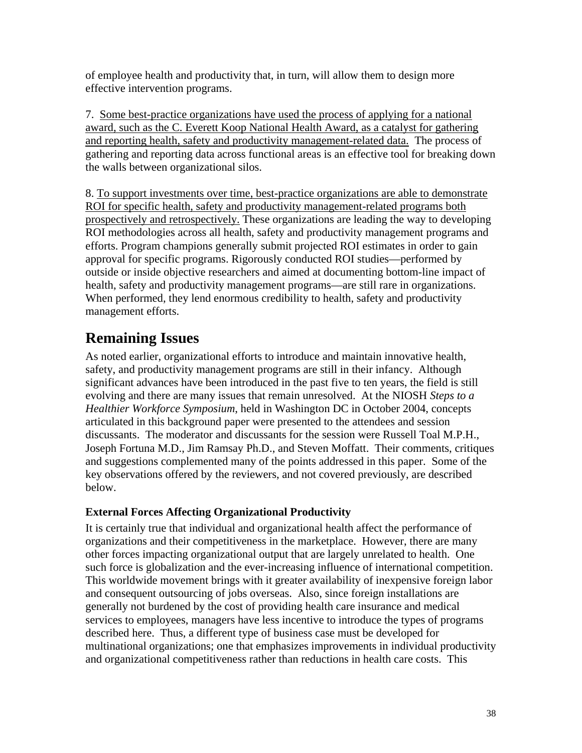of employee health and productivity that, in turn, will allow them to design more effective intervention programs.

7. Some best-practice organizations have used the process of applying for a national award, such as the C. Everett Koop National Health Award, as a catalyst for gathering and reporting health, safety and productivity management-related data. The process of gathering and reporting data across functional areas is an effective tool for breaking down the walls between organizational silos.

8. To support investments over time, best-practice organizations are able to demonstrate ROI for specific health, safety and productivity management-related programs both prospectively and retrospectively. These organizations are leading the way to developing ROI methodologies across all health, safety and productivity management programs and efforts. Program champions generally submit projected ROI estimates in order to gain approval for specific programs. Rigorously conducted ROI studies—performed by outside or inside objective researchers and aimed at documenting bottom-line impact of health, safety and productivity management programs—are still rare in organizations. When performed, they lend enormous credibility to health, safety and productivity management efforts.

# **Remaining Issues**

As noted earlier, organizational efforts to introduce and maintain innovative health, safety, and productivity management programs are still in their infancy. Although significant advances have been introduced in the past five to ten years, the field is still evolving and there are many issues that remain unresolved. At the NIOSH *Steps to a Healthier Workforce Symposium*, held in Washington DC in October 2004, concepts articulated in this background paper were presented to the attendees and session discussants. The moderator and discussants for the session were Russell Toal M.P.H., Joseph Fortuna M.D., Jim Ramsay Ph.D., and Steven Moffatt. Their comments, critiques and suggestions complemented many of the points addressed in this paper. Some of the key observations offered by the reviewers, and not covered previously, are described below.

# **External Forces Affecting Organizational Productivity**

It is certainly true that individual and organizational health affect the performance of organizations and their competitiveness in the marketplace. However, there are many other forces impacting organizational output that are largely unrelated to health. One such force is globalization and the ever-increasing influence of international competition. This worldwide movement brings with it greater availability of inexpensive foreign labor and consequent outsourcing of jobs overseas. Also, since foreign installations are generally not burdened by the cost of providing health care insurance and medical services to employees, managers have less incentive to introduce the types of programs described here. Thus, a different type of business case must be developed for multinational organizations; one that emphasizes improvements in individual productivity and organizational competitiveness rather than reductions in health care costs. This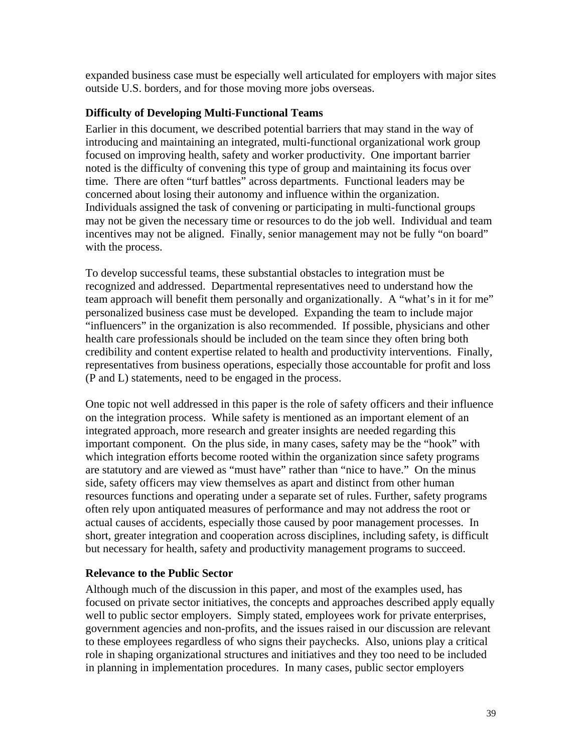expanded business case must be especially well articulated for employers with major sites outside U.S. borders, and for those moving more jobs overseas.

### **Difficulty of Developing Multi-Functional Teams**

Earlier in this document, we described potential barriers that may stand in the way of introducing and maintaining an integrated, multi-functional organizational work group focused on improving health, safety and worker productivity. One important barrier noted is the difficulty of convening this type of group and maintaining its focus over time. There are often "turf battles" across departments. Functional leaders may be concerned about losing their autonomy and influence within the organization. Individuals assigned the task of convening or participating in multi-functional groups may not be given the necessary time or resources to do the job well. Individual and team incentives may not be aligned. Finally, senior management may not be fully "on board" with the process.

To develop successful teams, these substantial obstacles to integration must be recognized and addressed. Departmental representatives need to understand how the team approach will benefit them personally and organizationally. A "what's in it for me" personalized business case must be developed. Expanding the team to include major "influencers" in the organization is also recommended. If possible, physicians and other health care professionals should be included on the team since they often bring both credibility and content expertise related to health and productivity interventions. Finally, representatives from business operations, especially those accountable for profit and loss (P and L) statements, need to be engaged in the process.

One topic not well addressed in this paper is the role of safety officers and their influence on the integration process. While safety is mentioned as an important element of an integrated approach, more research and greater insights are needed regarding this important component. On the plus side, in many cases, safety may be the "hook" with which integration efforts become rooted within the organization since safety programs are statutory and are viewed as "must have" rather than "nice to have." On the minus side, safety officers may view themselves as apart and distinct from other human resources functions and operating under a separate set of rules. Further, safety programs often rely upon antiquated measures of performance and may not address the root or actual causes of accidents, especially those caused by poor management processes. In short, greater integration and cooperation across disciplines, including safety, is difficult but necessary for health, safety and productivity management programs to succeed.

### **Relevance to the Public Sector**

Although much of the discussion in this paper, and most of the examples used, has focused on private sector initiatives, the concepts and approaches described apply equally well to public sector employers. Simply stated, employees work for private enterprises, government agencies and non-profits, and the issues raised in our discussion are relevant to these employees regardless of who signs their paychecks. Also, unions play a critical role in shaping organizational structures and initiatives and they too need to be included in planning in implementation procedures. In many cases, public sector employers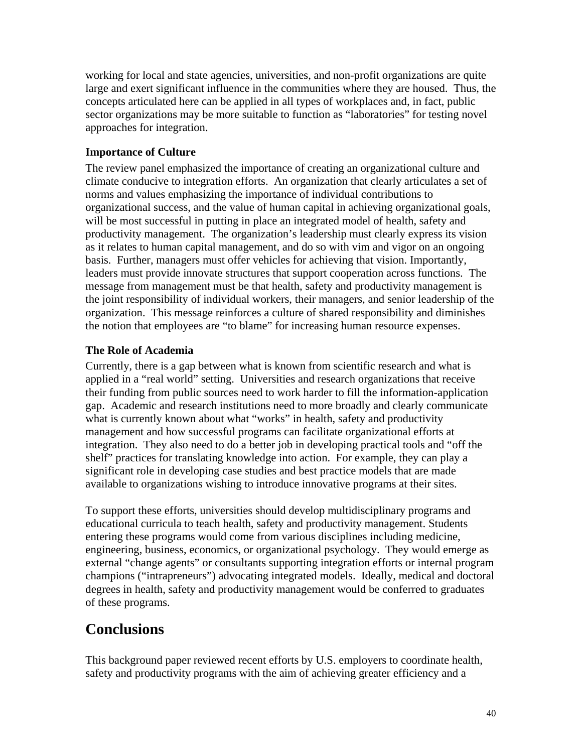working for local and state agencies, universities, and non-profit organizations are quite large and exert significant influence in the communities where they are housed. Thus, the concepts articulated here can be applied in all types of workplaces and, in fact, public sector organizations may be more suitable to function as "laboratories" for testing novel approaches for integration.

# **Importance of Culture**

The review panel emphasized the importance of creating an organizational culture and climate conducive to integration efforts. An organization that clearly articulates a set of norms and values emphasizing the importance of individual contributions to organizational success, and the value of human capital in achieving organizational goals, will be most successful in putting in place an integrated model of health, safety and productivity management. The organization's leadership must clearly express its vision as it relates to human capital management, and do so with vim and vigor on an ongoing basis. Further, managers must offer vehicles for achieving that vision. Importantly, leaders must provide innovate structures that support cooperation across functions. The message from management must be that health, safety and productivity management is the joint responsibility of individual workers, their managers, and senior leadership of the organization. This message reinforces a culture of shared responsibility and diminishes the notion that employees are "to blame" for increasing human resource expenses.

# **The Role of Academia**

Currently, there is a gap between what is known from scientific research and what is applied in a "real world" setting. Universities and research organizations that receive their funding from public sources need to work harder to fill the information-application gap. Academic and research institutions need to more broadly and clearly communicate what is currently known about what "works" in health, safety and productivity management and how successful programs can facilitate organizational efforts at integration. They also need to do a better job in developing practical tools and "off the shelf" practices for translating knowledge into action. For example, they can play a significant role in developing case studies and best practice models that are made available to organizations wishing to introduce innovative programs at their sites.

To support these efforts, universities should develop multidisciplinary programs and educational curricula to teach health, safety and productivity management. Students entering these programs would come from various disciplines including medicine, engineering, business, economics, or organizational psychology. They would emerge as external "change agents" or consultants supporting integration efforts or internal program champions ("intrapreneurs") advocating integrated models. Ideally, medical and doctoral degrees in health, safety and productivity management would be conferred to graduates of these programs.

# **Conclusions**

This background paper reviewed recent efforts by U.S. employers to coordinate health, safety and productivity programs with the aim of achieving greater efficiency and a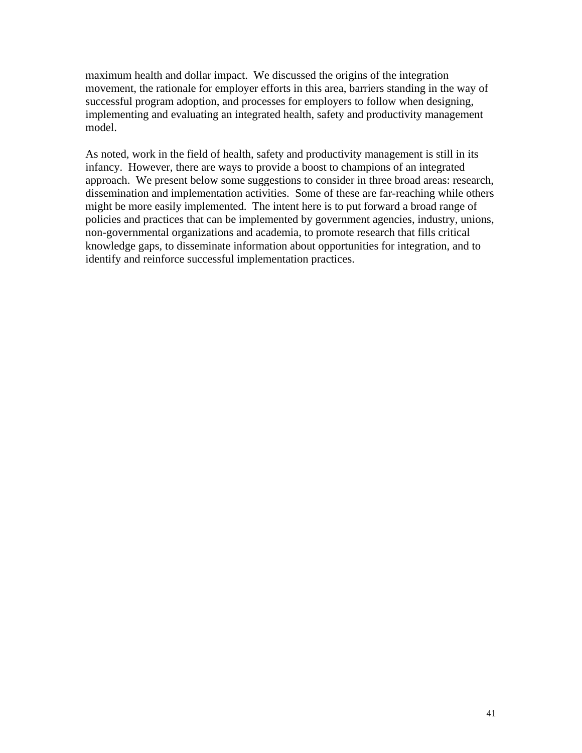maximum health and dollar impact. We discussed the origins of the integration movement, the rationale for employer efforts in this area, barriers standing in the way of successful program adoption, and processes for employers to follow when designing, implementing and evaluating an integrated health, safety and productivity management model.

As noted, work in the field of health, safety and productivity management is still in its infancy. However, there are ways to provide a boost to champions of an integrated approach. We present below some suggestions to consider in three broad areas: research, dissemination and implementation activities. Some of these are far-reaching while others might be more easily implemented. The intent here is to put forward a broad range of policies and practices that can be implemented by government agencies, industry, unions, non-governmental organizations and academia, to promote research that fills critical knowledge gaps, to disseminate information about opportunities for integration, and to identify and reinforce successful implementation practices.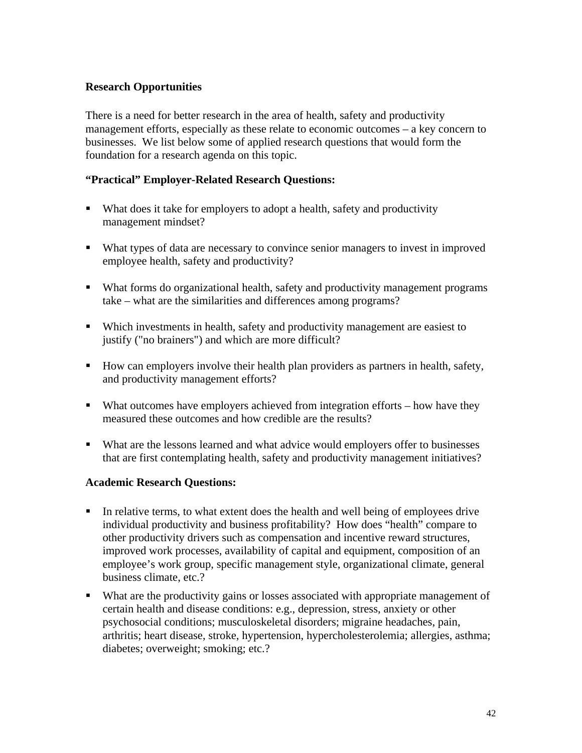### **Research Opportunities**

There is a need for better research in the area of health, safety and productivity management efforts, especially as these relate to economic outcomes – a key concern to businesses. We list below some of applied research questions that would form the foundation for a research agenda on this topic.

#### **"Practical" Employer-Related Research Questions:**

- What does it take for employers to adopt a health, safety and productivity management mindset?
- What types of data are necessary to convince senior managers to invest in improved employee health, safety and productivity?
- What forms do organizational health, safety and productivity management programs take – what are the similarities and differences among programs?
- Which investments in health, safety and productivity management are easiest to justify ("no brainers") and which are more difficult?
- How can employers involve their health plan providers as partners in health, safety, and productivity management efforts?
- What outcomes have employers achieved from integration efforts how have they measured these outcomes and how credible are the results?
- What are the lessons learned and what advice would employers offer to businesses that are first contemplating health, safety and productivity management initiatives?

#### **Academic Research Questions:**

- In relative terms, to what extent does the health and well being of employees drive individual productivity and business profitability? How does "health" compare to other productivity drivers such as compensation and incentive reward structures, improved work processes, availability of capital and equipment, composition of an employee's work group, specific management style, organizational climate, general business climate, etc.?
- What are the productivity gains or losses associated with appropriate management of certain health and disease conditions: e.g., depression, stress, anxiety or other psychosocial conditions; musculoskeletal disorders; migraine headaches, pain, arthritis; heart disease, stroke, hypertension, hypercholesterolemia; allergies, asthma; diabetes; overweight; smoking; etc.?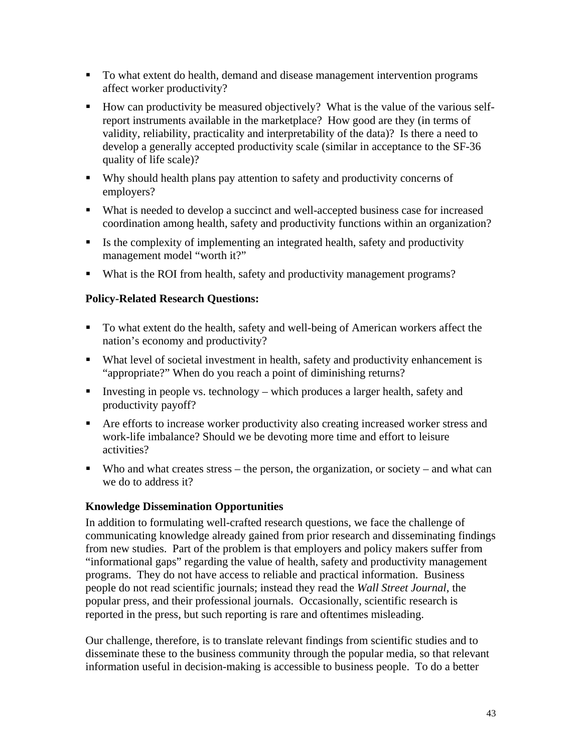- To what extent do health, demand and disease management intervention programs affect worker productivity?
- How can productivity be measured objectively? What is the value of the various selfreport instruments available in the marketplace? How good are they (in terms of validity, reliability, practicality and interpretability of the data)? Is there a need to develop a generally accepted productivity scale (similar in acceptance to the SF-36 quality of life scale)?
- Why should health plans pay attention to safety and productivity concerns of employers?
- What is needed to develop a succinct and well-accepted business case for increased coordination among health, safety and productivity functions within an organization?
- Is the complexity of implementing an integrated health, safety and productivity management model "worth it?"
- What is the ROI from health, safety and productivity management programs?

#### **Policy-Related Research Questions:**

- To what extent do the health, safety and well-being of American workers affect the nation's economy and productivity?
- What level of societal investment in health, safety and productivity enhancement is "appropriate?" When do you reach a point of diminishing returns?
- Investing in people vs. technology which produces a larger health, safety and productivity payoff?
- Are efforts to increase worker productivity also creating increased worker stress and work-life imbalance? Should we be devoting more time and effort to leisure activities?
- Who and what creates stress the person, the organization, or society and what can we do to address it?

### **Knowledge Dissemination Opportunities**

In addition to formulating well-crafted research questions, we face the challenge of communicating knowledge already gained from prior research and disseminating findings from new studies. Part of the problem is that employers and policy makers suffer from "informational gaps" regarding the value of health, safety and productivity management programs. They do not have access to reliable and practical information. Business people do not read scientific journals; instead they read the *Wall Street Journal*, the popular press, and their professional journals. Occasionally, scientific research is reported in the press, but such reporting is rare and oftentimes misleading.

Our challenge, therefore, is to translate relevant findings from scientific studies and to disseminate these to the business community through the popular media, so that relevant information useful in decision-making is accessible to business people. To do a better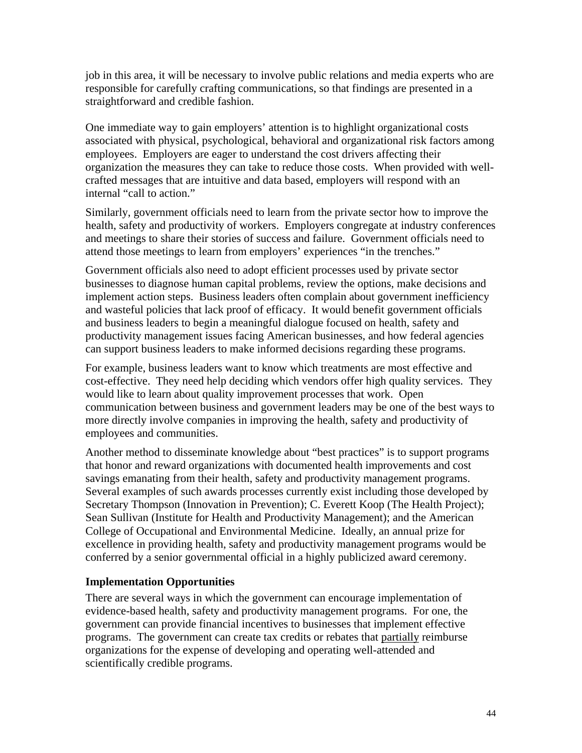job in this area, it will be necessary to involve public relations and media experts who are responsible for carefully crafting communications, so that findings are presented in a straightforward and credible fashion.

One immediate way to gain employers' attention is to highlight organizational costs associated with physical, psychological, behavioral and organizational risk factors among employees. Employers are eager to understand the cost drivers affecting their organization the measures they can take to reduce those costs. When provided with wellcrafted messages that are intuitive and data based, employers will respond with an internal "call to action."

Similarly, government officials need to learn from the private sector how to improve the health, safety and productivity of workers. Employers congregate at industry conferences and meetings to share their stories of success and failure. Government officials need to attend those meetings to learn from employers' experiences "in the trenches."

Government officials also need to adopt efficient processes used by private sector businesses to diagnose human capital problems, review the options, make decisions and implement action steps. Business leaders often complain about government inefficiency and wasteful policies that lack proof of efficacy. It would benefit government officials and business leaders to begin a meaningful dialogue focused on health, safety and productivity management issues facing American businesses, and how federal agencies can support business leaders to make informed decisions regarding these programs.

For example, business leaders want to know which treatments are most effective and cost-effective. They need help deciding which vendors offer high quality services. They would like to learn about quality improvement processes that work. Open communication between business and government leaders may be one of the best ways to more directly involve companies in improving the health, safety and productivity of employees and communities.

Another method to disseminate knowledge about "best practices" is to support programs that honor and reward organizations with documented health improvements and cost savings emanating from their health, safety and productivity management programs. Several examples of such awards processes currently exist including those developed by Secretary Thompson (Innovation in Prevention); C. Everett Koop (The Health Project); Sean Sullivan (Institute for Health and Productivity Management); and the American College of Occupational and Environmental Medicine. Ideally, an annual prize for excellence in providing health, safety and productivity management programs would be conferred by a senior governmental official in a highly publicized award ceremony.

### **Implementation Opportunities**

There are several ways in which the government can encourage implementation of evidence-based health, safety and productivity management programs. For one, the government can provide financial incentives to businesses that implement effective programs. The government can create tax credits or rebates that partially reimburse organizations for the expense of developing and operating well-attended and scientifically credible programs.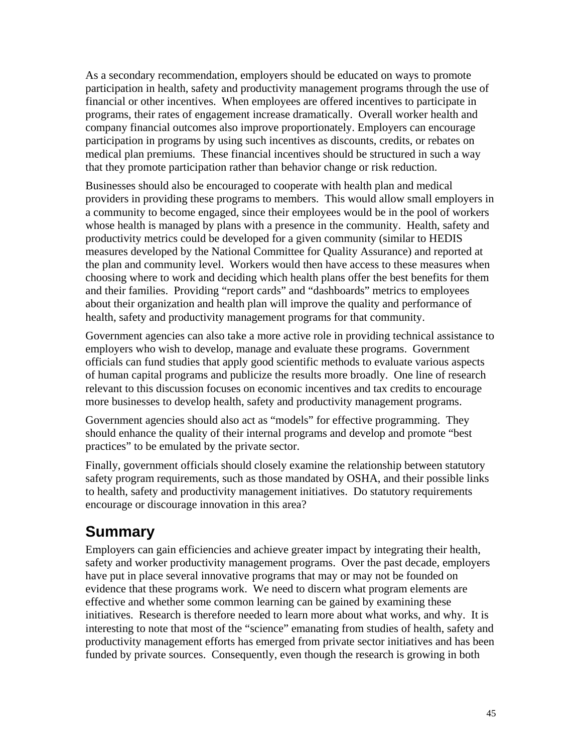As a secondary recommendation, employers should be educated on ways to promote participation in health, safety and productivity management programs through the use of financial or other incentives. When employees are offered incentives to participate in programs, their rates of engagement increase dramatically. Overall worker health and company financial outcomes also improve proportionately. Employers can encourage participation in programs by using such incentives as discounts, credits, or rebates on medical plan premiums. These financial incentives should be structured in such a way that they promote participation rather than behavior change or risk reduction.

Businesses should also be encouraged to cooperate with health plan and medical providers in providing these programs to members. This would allow small employers in a community to become engaged, since their employees would be in the pool of workers whose health is managed by plans with a presence in the community. Health, safety and productivity metrics could be developed for a given community (similar to HEDIS measures developed by the National Committee for Quality Assurance) and reported at the plan and community level. Workers would then have access to these measures when choosing where to work and deciding which health plans offer the best benefits for them and their families. Providing "report cards" and "dashboards" metrics to employees about their organization and health plan will improve the quality and performance of health, safety and productivity management programs for that community.

Government agencies can also take a more active role in providing technical assistance to employers who wish to develop, manage and evaluate these programs. Government officials can fund studies that apply good scientific methods to evaluate various aspects of human capital programs and publicize the results more broadly. One line of research relevant to this discussion focuses on economic incentives and tax credits to encourage more businesses to develop health, safety and productivity management programs.

Government agencies should also act as "models" for effective programming. They should enhance the quality of their internal programs and develop and promote "best practices" to be emulated by the private sector.

Finally, government officials should closely examine the relationship between statutory safety program requirements, such as those mandated by OSHA, and their possible links to health, safety and productivity management initiatives. Do statutory requirements encourage or discourage innovation in this area?

# **Summary**

Employers can gain efficiencies and achieve greater impact by integrating their health, safety and worker productivity management programs. Over the past decade, employers have put in place several innovative programs that may or may not be founded on evidence that these programs work. We need to discern what program elements are effective and whether some common learning can be gained by examining these initiatives. Research is therefore needed to learn more about what works, and why. It is interesting to note that most of the "science" emanating from studies of health, safety and productivity management efforts has emerged from private sector initiatives and has been funded by private sources. Consequently, even though the research is growing in both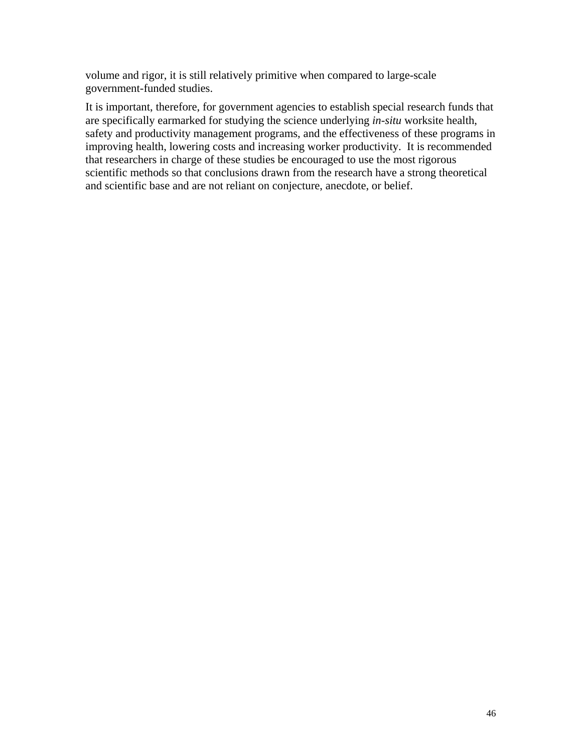volume and rigor, it is still relatively primitive when compared to large-scale government-funded studies.

It is important, therefore, for government agencies to establish special research funds that are specifically earmarked for studying the science underlying *in-situ* worksite health, safety and productivity management programs, and the effectiveness of these programs in improving health, lowering costs and increasing worker productivity. It is recommended that researchers in charge of these studies be encouraged to use the most rigorous scientific methods so that conclusions drawn from the research have a strong theoretical and scientific base and are not reliant on conjecture, anecdote, or belief.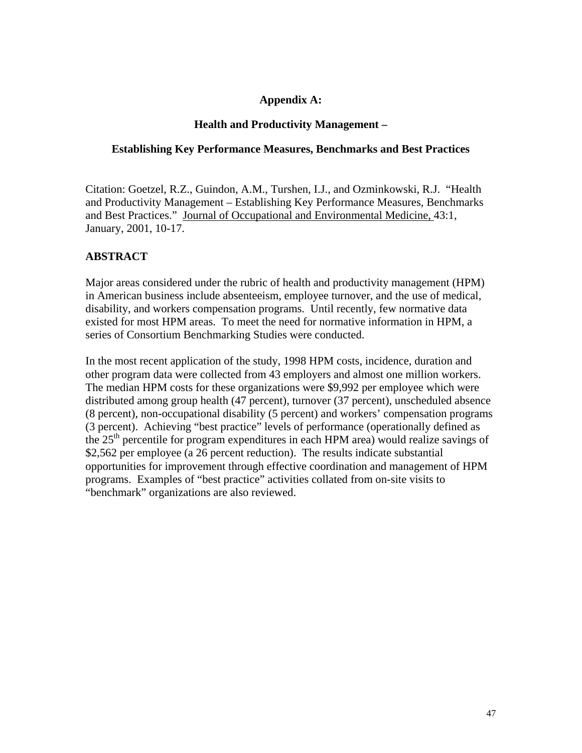#### **Appendix A:**

#### **Health and Productivity Management –**

#### **Establishing Key Performance Measures, Benchmarks and Best Practices**

Citation: Goetzel, R.Z., Guindon, A.M., Turshen, I.J., and Ozminkowski, R.J. "Health and Productivity Management – Establishing Key Performance Measures, Benchmarks and Best Practices." Journal of Occupational and Environmental Medicine, 43:1, January, 2001, 10-17.

#### **ABSTRACT**

Major areas considered under the rubric of health and productivity management (HPM) in American business include absenteeism, employee turnover, and the use of medical, disability, and workers compensation programs. Until recently, few normative data existed for most HPM areas. To meet the need for normative information in HPM, a series of Consortium Benchmarking Studies were conducted.

In the most recent application of the study, 1998 HPM costs, incidence, duration and other program data were collected from 43 employers and almost one million workers. The median HPM costs for these organizations were \$9,992 per employee which were distributed among group health (47 percent), turnover (37 percent), unscheduled absence (8 percent), non-occupational disability (5 percent) and workers' compensation programs (3 percent). Achieving "best practice" levels of performance (operationally defined as the  $25<sup>th</sup>$  percentile for program expenditures in each HPM area) would realize savings of \$2,562 per employee (a 26 percent reduction). The results indicate substantial opportunities for improvement through effective coordination and management of HPM programs. Examples of "best practice" activities collated from on-site visits to "benchmark" organizations are also reviewed.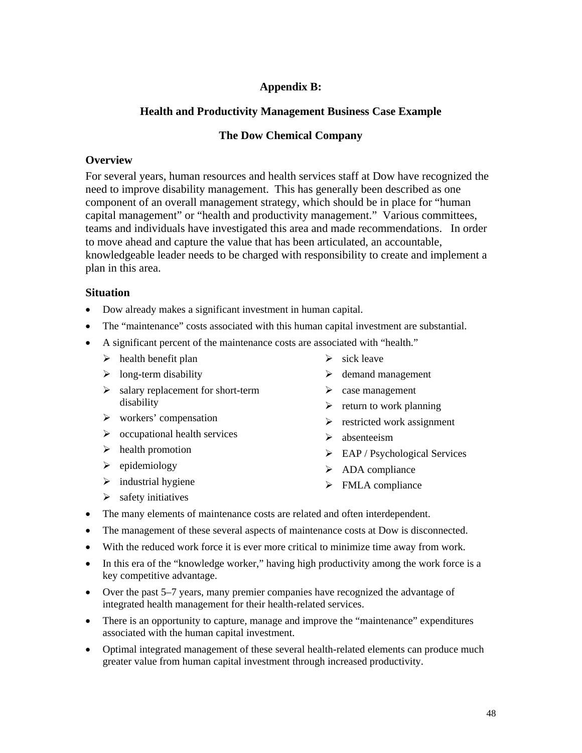### **Appendix B:**

#### **Health and Productivity Management Business Case Example**

#### **The Dow Chemical Company**

#### **Overview**

For several years, human resources and health services staff at Dow have recognized the need to improve disability management. This has generally been described as one component of an overall management strategy, which should be in place for "human capital management" or "health and productivity management." Various committees, teams and individuals have investigated this area and made recommendations. In order to move ahead and capture the value that has been articulated, an accountable, knowledgeable leader needs to be charged with responsibility to create and implement a plan in this area.

#### **Situation**

- Dow already makes a significant investment in human capital.
- The "maintenance" costs associated with this human capital investment are substantial.
- A significant percent of the maintenance costs are associated with "health."
	- $\blacktriangleright$  health benefit plan
	- $\triangleright$  long-term disability
	- $\geq$  salary replacement for short-term disability
	- $\triangleright$  workers' compensation
	- $\triangleright$  occupational health services
	- $\blacktriangleright$  health promotion
	- $\blacktriangleright$  epidemiology
	- $\triangleright$  industrial hygiene
- $\triangleright$  sick leave
- $\triangleright$  demand management
- $\triangleright$  case management
- $\triangleright$  return to work planning
- $\triangleright$  restricted work assignment
- $\triangleright$  absenteeism
- $\triangleright$  EAP / Psychological Services
- $\triangleright$  ADA compliance
- $\triangleright$  FMLA compliance

 $\triangleright$  safety initiatives

- 
- The many elements of maintenance costs are related and often interdependent.
- The management of these several aspects of maintenance costs at Dow is disconnected.
- With the reduced work force it is ever more critical to minimize time away from work.
- In this era of the "knowledge worker," having high productivity among the work force is a key competitive advantage.
- Over the past 5–7 years, many premier companies have recognized the advantage of integrated health management for their health-related services.
- There is an opportunity to capture, manage and improve the "maintenance" expenditures associated with the human capital investment.
- Optimal integrated management of these several health-related elements can produce much greater value from human capital investment through increased productivity.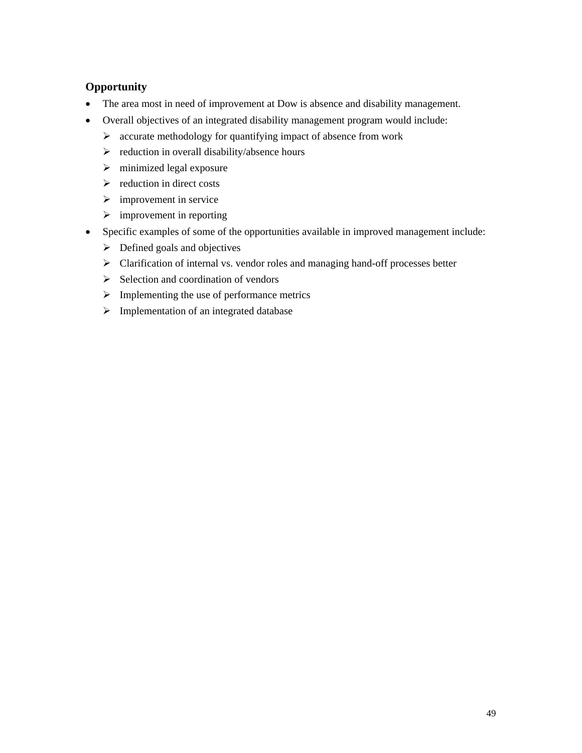# **Opportunity**

- The area most in need of improvement at Dow is absence and disability management.
- Overall objectives of an integrated disability management program would include:
	- $\triangleright$  accurate methodology for quantifying impact of absence from work
	- $\triangleright$  reduction in overall disability/absence hours
	- $\triangleright$  minimized legal exposure
	- $\triangleright$  reduction in direct costs
	- $\triangleright$  improvement in service
	- $\triangleright$  improvement in reporting
- Specific examples of some of the opportunities available in improved management include:
	- $\triangleright$  Defined goals and objectives
	- ¾ Clarification of internal vs. vendor roles and managing hand-off processes better
	- $\triangleright$  Selection and coordination of vendors
	- $\triangleright$  Implementing the use of performance metrics
	- $\triangleright$  Implementation of an integrated database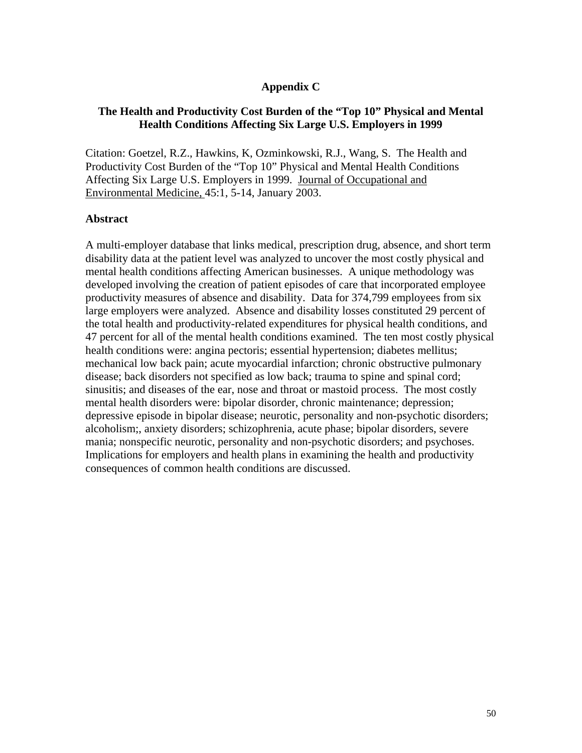#### **Appendix C**

#### **The Health and Productivity Cost Burden of the "Top 10" Physical and Mental Health Conditions Affecting Six Large U.S. Employers in 1999**

Citation: Goetzel, R.Z., Hawkins, K, Ozminkowski, R.J., Wang, S. The Health and Productivity Cost Burden of the "Top 10" Physical and Mental Health Conditions Affecting Six Large U.S. Employers in 1999. Journal of Occupational and Environmental Medicine, 45:1, 5-14, January 2003.

#### **Abstract**

A multi-employer database that links medical, prescription drug, absence, and short term disability data at the patient level was analyzed to uncover the most costly physical and mental health conditions affecting American businesses. A unique methodology was developed involving the creation of patient episodes of care that incorporated employee productivity measures of absence and disability. Data for 374,799 employees from six large employers were analyzed. Absence and disability losses constituted 29 percent of the total health and productivity-related expenditures for physical health conditions, and 47 percent for all of the mental health conditions examined. The ten most costly physical health conditions were: angina pectoris; essential hypertension; diabetes mellitus; mechanical low back pain; acute myocardial infarction; chronic obstructive pulmonary disease; back disorders not specified as low back; trauma to spine and spinal cord; sinusitis; and diseases of the ear, nose and throat or mastoid process. The most costly mental health disorders were: bipolar disorder, chronic maintenance; depression; depressive episode in bipolar disease; neurotic, personality and non-psychotic disorders; alcoholism;, anxiety disorders; schizophrenia, acute phase; bipolar disorders, severe mania; nonspecific neurotic, personality and non-psychotic disorders; and psychoses. Implications for employers and health plans in examining the health and productivity consequences of common health conditions are discussed.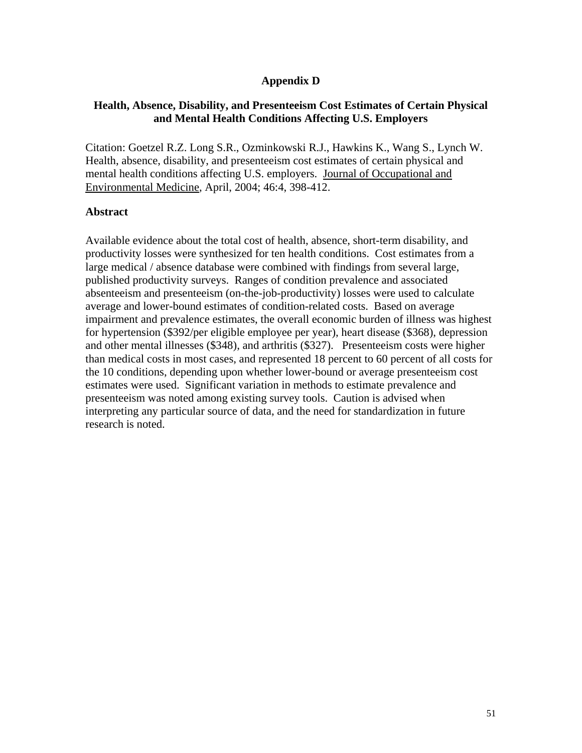#### **Appendix D**

### **Health, Absence, Disability, and Presenteeism Cost Estimates of Certain Physical and Mental Health Conditions Affecting U.S. Employers**

Citation: Goetzel R.Z. Long S.R., Ozminkowski R.J., Hawkins K., Wang S., Lynch W. Health, absence, disability, and presenteeism cost estimates of certain physical and mental health conditions affecting U.S. employers. Journal of Occupational and Environmental Medicine, April, 2004; 46:4, 398-412.

#### **Abstract**

Available evidence about the total cost of health, absence, short-term disability, and productivity losses were synthesized for ten health conditions. Cost estimates from a large medical / absence database were combined with findings from several large, published productivity surveys. Ranges of condition prevalence and associated absenteeism and presenteeism (on-the-job-productivity) losses were used to calculate average and lower-bound estimates of condition-related costs. Based on average impairment and prevalence estimates, the overall economic burden of illness was highest for hypertension (\$392/per eligible employee per year), heart disease (\$368), depression and other mental illnesses (\$348), and arthritis (\$327). Presenteeism costs were higher than medical costs in most cases, and represented 18 percent to 60 percent of all costs for the 10 conditions, depending upon whether lower-bound or average presenteeism cost estimates were used. Significant variation in methods to estimate prevalence and presenteeism was noted among existing survey tools. Caution is advised when interpreting any particular source of data, and the need for standardization in future research is noted.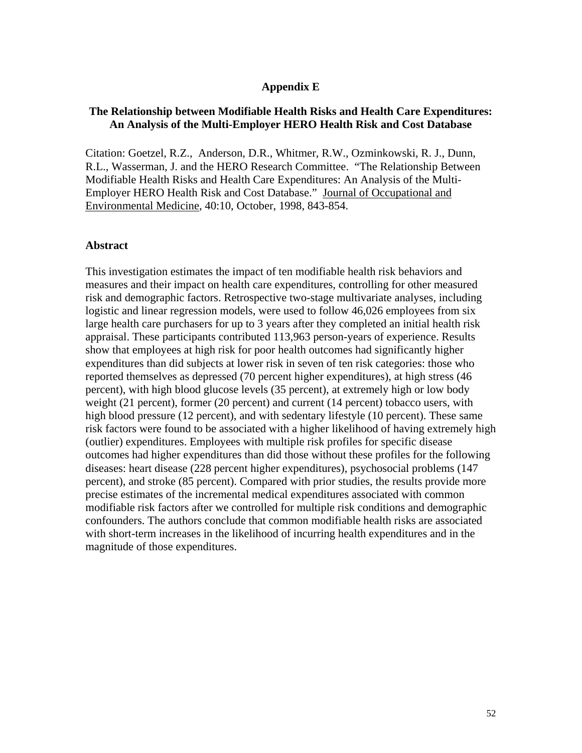#### **Appendix E**

#### **The Relationship between Modifiable Health Risks and Health Care Expenditures: An Analysis of the Multi-Employer HERO Health Risk and Cost Database**

Citation: Goetzel, R.Z., Anderson, D.R., Whitmer, R.W., Ozminkowski, R. J., Dunn, R.L., Wasserman, J. and the HERO Research Committee. "The Relationship Between Modifiable Health Risks and Health Care Expenditures: An Analysis of the Multi-Employer HERO Health Risk and Cost Database." Journal of Occupational and Environmental Medicine, 40:10, October, 1998, 843-854.

#### **Abstract**

This investigation estimates the impact of ten modifiable health risk behaviors and measures and their impact on health care expenditures, controlling for other measured risk and demographic factors. Retrospective two-stage multivariate analyses, including logistic and linear regression models, were used to follow 46,026 employees from six large health care purchasers for up to 3 years after they completed an initial health risk appraisal. These participants contributed 113,963 person-years of experience. Results show that employees at high risk for poor health outcomes had significantly higher expenditures than did subjects at lower risk in seven of ten risk categories: those who reported themselves as depressed (70 percent higher expenditures), at high stress (46 percent), with high blood glucose levels (35 percent), at extremely high or low body weight (21 percent), former (20 percent) and current (14 percent) tobacco users, with high blood pressure (12 percent), and with sedentary lifestyle (10 percent). These same risk factors were found to be associated with a higher likelihood of having extremely high (outlier) expenditures. Employees with multiple risk profiles for specific disease outcomes had higher expenditures than did those without these profiles for the following diseases: heart disease (228 percent higher expenditures), psychosocial problems (147 percent), and stroke (85 percent). Compared with prior studies, the results provide more precise estimates of the incremental medical expenditures associated with common modifiable risk factors after we controlled for multiple risk conditions and demographic confounders. The authors conclude that common modifiable health risks are associated with short-term increases in the likelihood of incurring health expenditures and in the magnitude of those expenditures.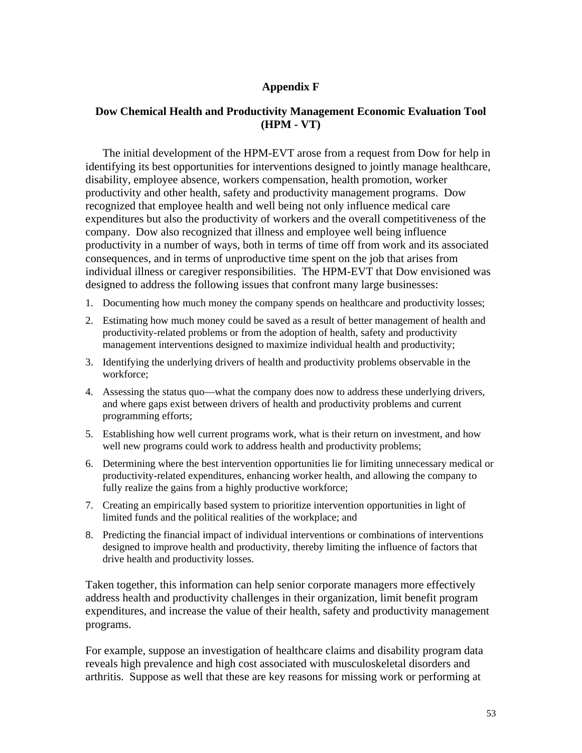### **Appendix F**

#### **Dow Chemical Health and Productivity Management Economic Evaluation Tool (HPM - VT)**

The initial development of the HPM-EVT arose from a request from Dow for help in identifying its best opportunities for interventions designed to jointly manage healthcare, disability, employee absence, workers compensation, health promotion, worker productivity and other health, safety and productivity management programs. Dow recognized that employee health and well being not only influence medical care expenditures but also the productivity of workers and the overall competitiveness of the company. Dow also recognized that illness and employee well being influence productivity in a number of ways, both in terms of time off from work and its associated consequences, and in terms of unproductive time spent on the job that arises from individual illness or caregiver responsibilities. The HPM-EVT that Dow envisioned was designed to address the following issues that confront many large businesses:

- 1. Documenting how much money the company spends on healthcare and productivity losses;
- 2. Estimating how much money could be saved as a result of better management of health and productivity-related problems or from the adoption of health, safety and productivity management interventions designed to maximize individual health and productivity;
- 3. Identifying the underlying drivers of health and productivity problems observable in the workforce;
- 4. Assessing the status quo—what the company does now to address these underlying drivers, and where gaps exist between drivers of health and productivity problems and current programming efforts;
- 5. Establishing how well current programs work, what is their return on investment, and how well new programs could work to address health and productivity problems;
- 6. Determining where the best intervention opportunities lie for limiting unnecessary medical or productivity-related expenditures, enhancing worker health, and allowing the company to fully realize the gains from a highly productive workforce;
- 7. Creating an empirically based system to prioritize intervention opportunities in light of limited funds and the political realities of the workplace; and
- 8. Predicting the financial impact of individual interventions or combinations of interventions designed to improve health and productivity, thereby limiting the influence of factors that drive health and productivity losses.

Taken together, this information can help senior corporate managers more effectively address health and productivity challenges in their organization, limit benefit program expenditures, and increase the value of their health, safety and productivity management programs.

For example, suppose an investigation of healthcare claims and disability program data reveals high prevalence and high cost associated with musculoskeletal disorders and arthritis. Suppose as well that these are key reasons for missing work or performing at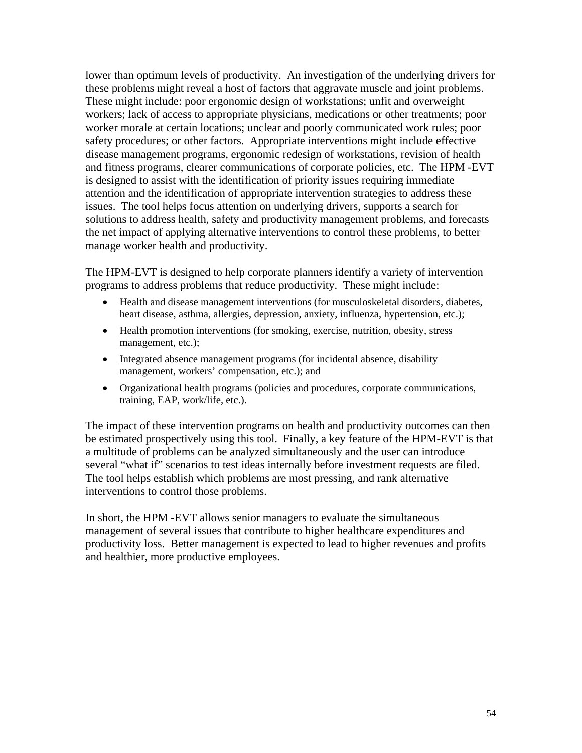lower than optimum levels of productivity. An investigation of the underlying drivers for these problems might reveal a host of factors that aggravate muscle and joint problems. These might include: poor ergonomic design of workstations; unfit and overweight workers; lack of access to appropriate physicians, medications or other treatments; poor worker morale at certain locations; unclear and poorly communicated work rules; poor safety procedures; or other factors. Appropriate interventions might include effective disease management programs, ergonomic redesign of workstations, revision of health and fitness programs, clearer communications of corporate policies, etc. The HPM -EVT is designed to assist with the identification of priority issues requiring immediate attention and the identification of appropriate intervention strategies to address these issues. The tool helps focus attention on underlying drivers, supports a search for solutions to address health, safety and productivity management problems, and forecasts the net impact of applying alternative interventions to control these problems, to better manage worker health and productivity.

The HPM-EVT is designed to help corporate planners identify a variety of intervention programs to address problems that reduce productivity. These might include:

- Health and disease management interventions (for musculoskeletal disorders, diabetes, heart disease, asthma, allergies, depression, anxiety, influenza, hypertension, etc.);
- Health promotion interventions (for smoking, exercise, nutrition, obesity, stress management, etc.);
- Integrated absence management programs (for incidental absence, disability management, workers' compensation, etc.); and
- Organizational health programs (policies and procedures, corporate communications, training, EAP, work/life, etc.).

The impact of these intervention programs on health and productivity outcomes can then be estimated prospectively using this tool. Finally, a key feature of the HPM-EVT is that a multitude of problems can be analyzed simultaneously and the user can introduce several "what if" scenarios to test ideas internally before investment requests are filed. The tool helps establish which problems are most pressing, and rank alternative interventions to control those problems.

In short, the HPM -EVT allows senior managers to evaluate the simultaneous management of several issues that contribute to higher healthcare expenditures and productivity loss. Better management is expected to lead to higher revenues and profits and healthier, more productive employees.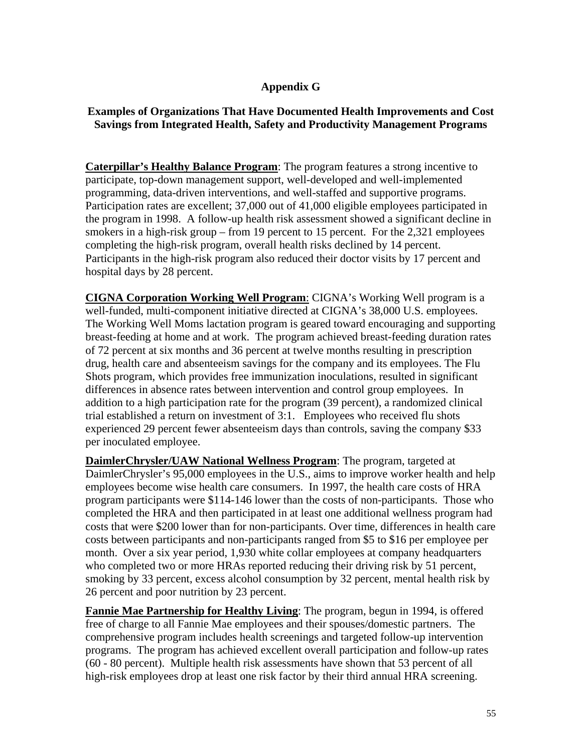#### **Appendix G**

### **Examples of Organizations That Have Documented Health Improvements and Cost Savings from Integrated Health, Safety and Productivity Management Programs**

**Caterpillar's Healthy Balance Program**: The program features a strong incentive to participate, top-down management support, well-developed and well-implemented programming, data-driven interventions, and well-staffed and supportive programs. Participation rates are excellent; 37,000 out of 41,000 eligible employees participated in the program in 1998. A follow-up health risk assessment showed a significant decline in smokers in a high-risk group – from 19 percent to 15 percent. For the 2,321 employees completing the high-risk program, overall health risks declined by 14 percent. Participants in the high-risk program also reduced their doctor visits by 17 percent and hospital days by 28 percent.

**CIGNA Corporation Working Well Program**: CIGNA's Working Well program is a well-funded, multi-component initiative directed at CIGNA's 38,000 U.S. employees. The Working Well Moms lactation program is geared toward encouraging and supporting breast-feeding at home and at work. The program achieved breast-feeding duration rates of 72 percent at six months and 36 percent at twelve months resulting in prescription drug, health care and absenteeism savings for the company and its employees. The Flu Shots program, which provides free immunization inoculations, resulted in significant differences in absence rates between intervention and control group employees. In addition to a high participation rate for the program (39 percent), a randomized clinical trial established a return on investment of 3:1. Employees who received flu shots experienced 29 percent fewer absenteeism days than controls, saving the company \$33 per inoculated employee.

**DaimlerChrysler/UAW National Wellness Program**: The program, targeted at DaimlerChrysler's 95,000 employees in the U.S., aims to improve worker health and help employees become wise health care consumers. In 1997, the health care costs of HRA program participants were \$114-146 lower than the costs of non-participants. Those who completed the HRA and then participated in at least one additional wellness program had costs that were \$200 lower than for non-participants. Over time, differences in health care costs between participants and non-participants ranged from \$5 to \$16 per employee per month. Over a six year period, 1,930 white collar employees at company headquarters who completed two or more HRAs reported reducing their driving risk by 51 percent, smoking by 33 percent, excess alcohol consumption by 32 percent, mental health risk by 26 percent and poor nutrition by 23 percent.

**Fannie Mae Partnership for Healthy Living**: The program, begun in 1994, is offered free of charge to all Fannie Mae employees and their spouses/domestic partners. The comprehensive program includes health screenings and targeted follow-up intervention programs. The program has achieved excellent overall participation and follow-up rates (60 - 80 percent). Multiple health risk assessments have shown that 53 percent of all high-risk employees drop at least one risk factor by their third annual HRA screening.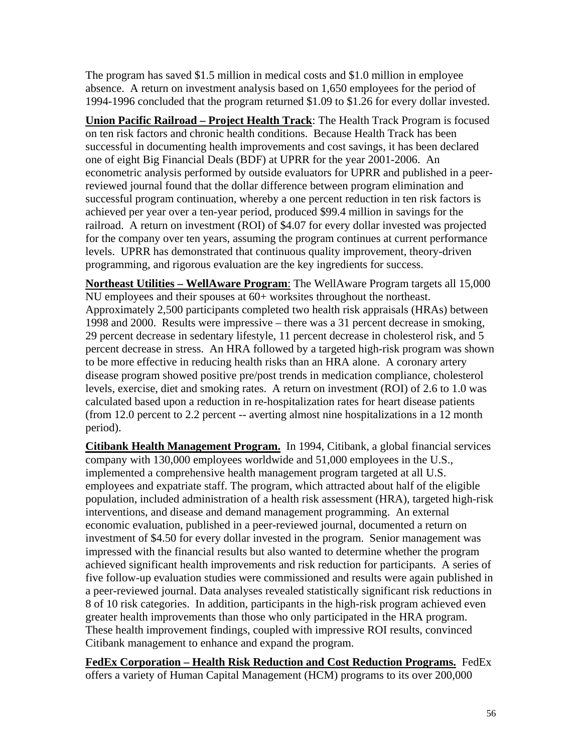The program has saved \$1.5 million in medical costs and \$1.0 million in employee absence. A return on investment analysis based on 1,650 employees for the period of 1994-1996 concluded that the program returned \$1.09 to \$1.26 for every dollar invested.

**Union Pacific Railroad – Project Health Track**: The Health Track Program is focused on ten risk factors and chronic health conditions. Because Health Track has been successful in documenting health improvements and cost savings, it has been declared one of eight Big Financial Deals (BDF) at UPRR for the year 2001-2006. An econometric analysis performed by outside evaluators for UPRR and published in a peerreviewed journal found that the dollar difference between program elimination and successful program continuation, whereby a one percent reduction in ten risk factors is achieved per year over a ten-year period, produced \$99.4 million in savings for the railroad. A return on investment (ROI) of \$4.07 for every dollar invested was projected for the company over ten years, assuming the program continues at current performance levels. UPRR has demonstrated that continuous quality improvement, theory-driven programming, and rigorous evaluation are the key ingredients for success.

**Northeast Utilities – WellAware Program**: The WellAware Program targets all 15,000 NU employees and their spouses at 60+ worksites throughout the northeast. Approximately 2,500 participants completed two health risk appraisals (HRAs) between 1998 and 2000. Results were impressive – there was a 31 percent decrease in smoking, 29 percent decrease in sedentary lifestyle, 11 percent decrease in cholesterol risk, and 5 percent decrease in stress. An HRA followed by a targeted high-risk program was shown to be more effective in reducing health risks than an HRA alone. A coronary artery disease program showed positive pre/post trends in medication compliance, cholesterol levels, exercise, diet and smoking rates. A return on investment (ROI) of 2.6 to 1.0 was calculated based upon a reduction in re-hospitalization rates for heart disease patients (from 12.0 percent to 2.2 percent -- averting almost nine hospitalizations in a 12 month period).

**Citibank Health Management Program.** In 1994, Citibank, a global financial services company with 130,000 employees worldwide and 51,000 employees in the U.S., implemented a comprehensive health management program targeted at all U.S. employees and expatriate staff. The program, which attracted about half of the eligible population, included administration of a health risk assessment (HRA), targeted high-risk interventions, and disease and demand management programming. An external economic evaluation, published in a peer-reviewed journal, documented a return on investment of \$4.50 for every dollar invested in the program. Senior management was impressed with the financial results but also wanted to determine whether the program achieved significant health improvements and risk reduction for participants. A series of five follow-up evaluation studies were commissioned and results were again published in a peer-reviewed journal. Data analyses revealed statistically significant risk reductions in 8 of 10 risk categories. In addition, participants in the high-risk program achieved even greater health improvements than those who only participated in the HRA program. These health improvement findings, coupled with impressive ROI results, convinced Citibank management to enhance and expand the program.

**FedEx Corporation – Health Risk Reduction and Cost Reduction Programs.** FedEx offers a variety of Human Capital Management (HCM) programs to its over 200,000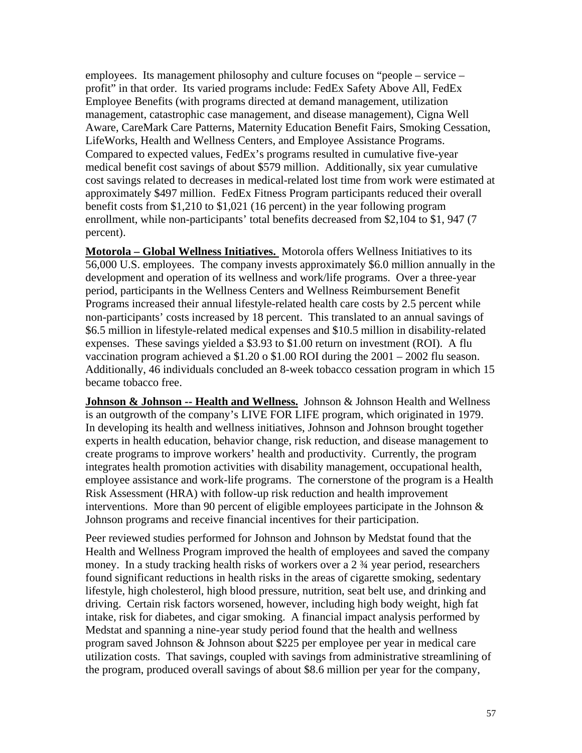employees. Its management philosophy and culture focuses on "people – service – profit" in that order. Its varied programs include: FedEx Safety Above All, FedEx Employee Benefits (with programs directed at demand management, utilization management, catastrophic case management, and disease management), Cigna Well Aware, CareMark Care Patterns, Maternity Education Benefit Fairs, Smoking Cessation, LifeWorks, Health and Wellness Centers, and Employee Assistance Programs. Compared to expected values, FedEx's programs resulted in cumulative five-year medical benefit cost savings of about \$579 million. Additionally, six year cumulative cost savings related to decreases in medical-related lost time from work were estimated at approximately \$497 million. FedEx Fitness Program participants reduced their overall benefit costs from \$1,210 to \$1,021 (16 percent) in the year following program enrollment, while non-participants' total benefits decreased from \$2,104 to \$1, 947 (7 percent).

**Motorola – Global Wellness Initiatives.** Motorola offers Wellness Initiatives to its 56,000 U.S. employees. The company invests approximately \$6.0 million annually in the development and operation of its wellness and work/life programs. Over a three-year period, participants in the Wellness Centers and Wellness Reimbursement Benefit Programs increased their annual lifestyle-related health care costs by 2.5 percent while non-participants' costs increased by 18 percent. This translated to an annual savings of \$6.5 million in lifestyle-related medical expenses and \$10.5 million in disability-related expenses. These savings yielded a \$3.93 to \$1.00 return on investment (ROI). A flu vaccination program achieved a \$1.20 o \$1.00 ROI during the 2001 – 2002 flu season. Additionally, 46 individuals concluded an 8-week tobacco cessation program in which 15 became tobacco free.

**Johnson & Johnson -- Health and Wellness.** Johnson & Johnson Health and Wellness is an outgrowth of the company's LIVE FOR LIFE program, which originated in 1979. In developing its health and wellness initiatives, Johnson and Johnson brought together experts in health education, behavior change, risk reduction, and disease management to create programs to improve workers' health and productivity. Currently, the program integrates health promotion activities with disability management, occupational health, employee assistance and work-life programs. The cornerstone of the program is a Health Risk Assessment (HRA) with follow-up risk reduction and health improvement interventions. More than 90 percent of eligible employees participate in the Johnson  $\&$ Johnson programs and receive financial incentives for their participation.

Peer reviewed studies performed for Johnson and Johnson by Medstat found that the Health and Wellness Program improved the health of employees and saved the company money. In a study tracking health risks of workers over a 2  $\frac{3}{4}$  year period, researchers found significant reductions in health risks in the areas of cigarette smoking, sedentary lifestyle, high cholesterol, high blood pressure, nutrition, seat belt use, and drinking and driving. Certain risk factors worsened, however, including high body weight, high fat intake, risk for diabetes, and cigar smoking. A financial impact analysis performed by Medstat and spanning a nine-year study period found that the health and wellness program saved Johnson & Johnson about \$225 per employee per year in medical care utilization costs. That savings, coupled with savings from administrative streamlining of the program, produced overall savings of about \$8.6 million per year for the company,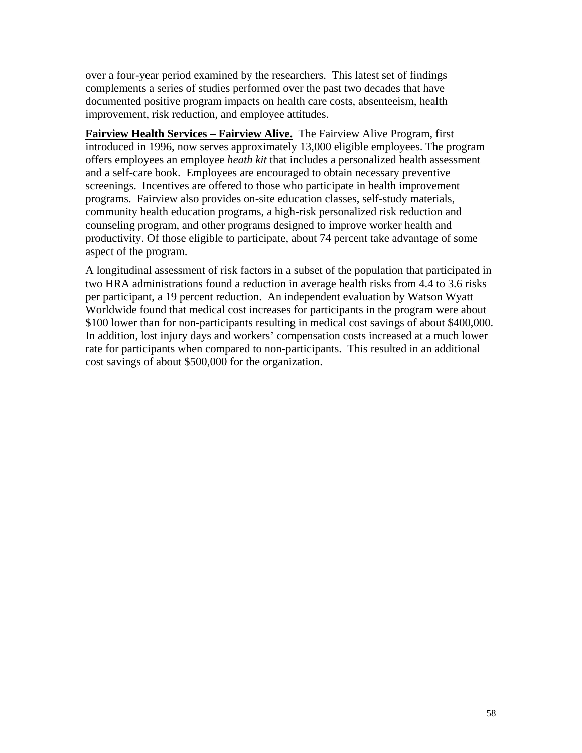over a four-year period examined by the researchers. This latest set of findings complements a series of studies performed over the past two decades that have documented positive program impacts on health care costs, absenteeism, health improvement, risk reduction, and employee attitudes.

**Fairview Health Services – Fairview Alive.** The Fairview Alive Program, first introduced in 1996, now serves approximately 13,000 eligible employees. The program offers employees an employee *heath kit* that includes a personalized health assessment and a self-care book. Employees are encouraged to obtain necessary preventive screenings. Incentives are offered to those who participate in health improvement programs. Fairview also provides on-site education classes, self-study materials, community health education programs, a high-risk personalized risk reduction and counseling program, and other programs designed to improve worker health and productivity. Of those eligible to participate, about 74 percent take advantage of some aspect of the program.

A longitudinal assessment of risk factors in a subset of the population that participated in two HRA administrations found a reduction in average health risks from 4.4 to 3.6 risks per participant, a 19 percent reduction. An independent evaluation by Watson Wyatt Worldwide found that medical cost increases for participants in the program were about \$100 lower than for non-participants resulting in medical cost savings of about \$400,000. In addition, lost injury days and workers' compensation costs increased at a much lower rate for participants when compared to non-participants. This resulted in an additional cost savings of about \$500,000 for the organization.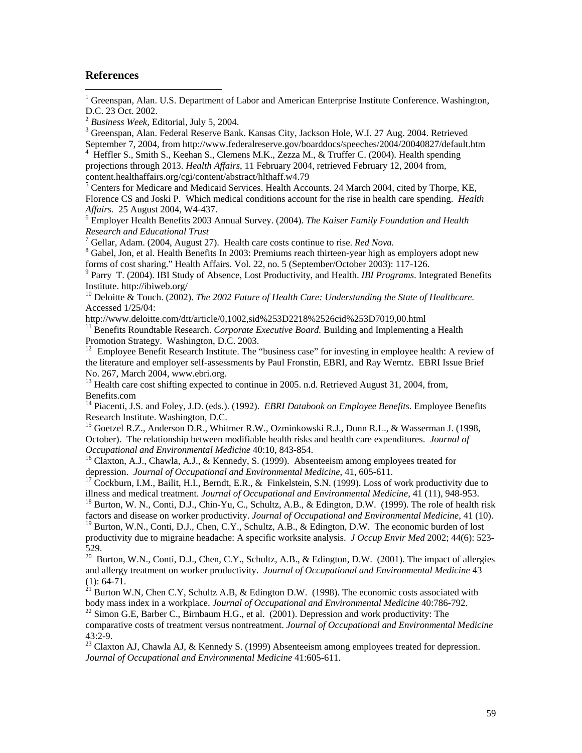#### **References**

 $\overline{a}$ 

<sup>1</sup> Greenspan, Alan. U.S. Department of Labor and American Enterprise Institute Conference. Washington, D.C. 23 Oct. 2002.

<sup>3</sup> Greenspan, Alan. Federal Reserve Bank. Kansas City, Jackson Hole, W.I. 27 Aug. 2004. Retrieved September 7, 2004, from http://www.federalreserve.gov/boarddocs/speeches/2004/20040827/default.htm

<sup>4</sup> Heffler S., Smith S., Keehan S., Clemens M.K., Zezza M., & Truffer C. (2004). Health spending projections through 2013. *Health Affairs*, 11 February 2004, retrieved February 12, 2004 from, content.healthaffairs.org/cgi/content/abstract/hlthaff.w4.79

<sup>5</sup> Centers for Medicare and Medicaid Services. Health Accounts. 24 March 2004, cited by Thorpe, KE, Florence CS and Joski P. Which medical conditions account for the rise in health care spending. *Health Affairs.* 25 August 2004, W4-437. 6

 Employer Health Benefits 2003 Annual Survey. (2004). *The Kaiser Family Foundation and Health Research and Educational Trust*

<sup>7</sup> Gellar, Adam. (2004, August 27). Health care costs continue to rise. *Red Nova.*<br><sup>8</sup> Gebal. Ian, at al. Health Bangfits In 2003; Bramiums roach thirteen vaar high sc

 Gabel, Jon, et al. Health Benefits In 2003: Premiums reach thirteen-year high as employers adopt new forms of cost sharing." Health Affairs. Vol. 22, no. 5 (September/October 2003): 117-126.

9 Parry T. (2004). IBI Study of Absence, Lost Productivity, and Health. *IBI Programs*. Integrated Benefits Institute. http://ibiweb.org/

10 Deloitte & Touch. (2002). *The 2002 Future of Health Care: Understanding the State of Healthcare.* Accessed 1/25/04:

http://www.deloitte.com/dtt/article/0,1002,sid%253D2218%2526cid%253D7019,00.html<br><sup>11</sup> Benefits Roundtable Research. *Corporate Executive Board*. Building and Implementing a Health Promotion Strategy. Washington, D.C. 2003.

<sup>12</sup> Employee Benefit Research Institute. The "business case" for investing in employee health: A review of the literature and employer self-assessments by Paul Fronstin, EBRI, and Ray Werntz. EBRI Issue Brief No. 267, March 2004, www.ebri.org.

 $^{13}$  Health care cost shifting expected to continue in 2005. n.d. Retrieved August 31, 2004, from, Benefits.com

14 Piacenti, J.S. and Foley, J.D. (eds.). (1992). *EBRI Databook on Employee Benefits*. Employee Benefits Research Institute. Washington, D.C.

<sup>15</sup> Goetzel R.Z., Anderson D.R., Whitmer R.W., Ozminkowski R.J., Dunn R.L., & Wasserman J. (1998, October). The relationship between modifiable health risks and health care expenditures. *Journal of* 

*Occupational and Environmental Medicine* 40:10, 843-854.<br><sup>16</sup> Claxton, A.J., Chawla, A.J., & Kennedy, S. (1999). Absenteeism among employees treated for depression. *Journal of Occupational and Environmental Medicine*, 41

<sup>17</sup> Cockburn, I.M., Bailit, H.I., Berndt, E.R., & Finkelstein, S.N. (1999). Loss of work productivity due to illness and medical treatment. *Journal of Occupational and Environmental Medicine*, 41 (11), 948-953.

<sup>18</sup> Burton, W. N., Conti, D.J., Chin-Yu, C., Schultz, A.B., & Edington, D.W. (1999). The role of health risk factors and disease on worker productivity. *Journal of Occupational and Environmental Medicine*, 41 (10).

<sup>19</sup> Burton, W.N., Conti, D.J., Chen, C.Y., Schultz, A.B., & Edington, D.W. The economic burden of lost productivity due to migraine headache: A specific worksite analysis. *J Occup Envir Med* 2002; 44(6): 523- 529.

<sup>20</sup> Burton, W.N., Conti, D.J., Chen, C.Y., Schultz, A.B., & Edington, D.W. (2001). The impact of allergies and allergy treatment on worker productivity. *Journal of Occupational and Environmental Medicine* 43  $(1): 64-71.$ 

 $^{21}$  Burton W.N, Chen C.Y, Schultz A.B, & Edington D.W. (1998). The economic costs associated with body mass index in a workplace. *Journal of Occupational and Environmental Medicine* 40:786-792.

<sup>22</sup> Simon G.E, Barber C., Birnbaum H.G., et al. (2001). Depression and work productivity: The comparative costs of treatment versus nontreatment. *Journal of Occupational and Environmental Medicine*  $43.2 - 9$ 

<sup>23</sup> Claxton AJ, Chawla AJ, & Kennedy S. (1999) Absenteeism among employees treated for depression. *Journal of Occupational and Environmental Medicine* 41:605-611.

<sup>&</sup>lt;sup>2</sup> Business Week, Editorial, July 5, 2004.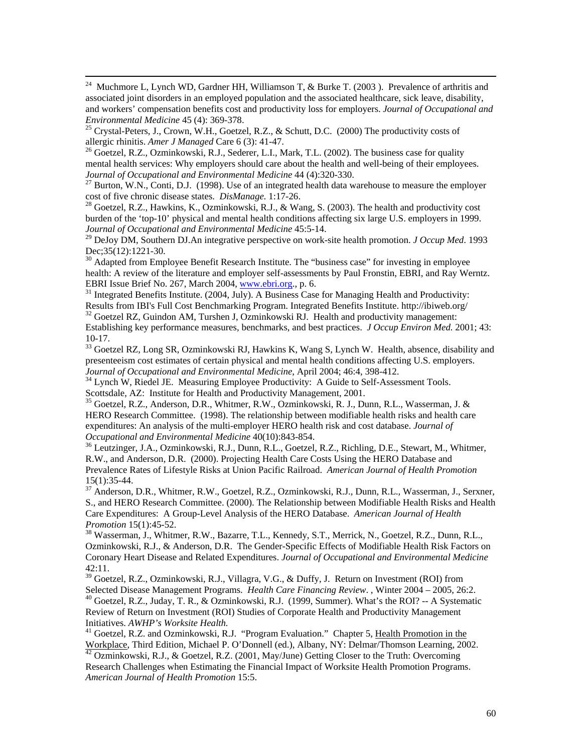<sup>24</sup> Muchmore L, Lynch WD, Gardner HH, Williamson T, & Burke T. (2003). Prevalence of arthritis and associated joint disorders in an employed population and the associated healthcare, sick leave, disability, and workers' compensation benefits cost and productivity loss for employers. *Journal of Occupational and* 

*Environmental Medicine* 45 (4): 369-378.<br><sup>25</sup> Crystal-Peters, J., Crown, W.H., Goetzel, R.Z., & Schutt, D.C. (2000) The productivity costs of allergic rhinitis. *Amer J Managed* Care 6 (3): 41-47.

<sup>26</sup> Goetzel, R.Z., Ozminkowski, R.J., Sederer, L.I., Mark, T.L. (2002). The business case for quality mental health services: Why employers should care about the health and well-being of their employees. *Journal of Occupational and Environmental Medicine* 44 (4):320-330.<br><sup>27</sup> Burton, W.N., Conti, D.J. (1998). Use of an integrated health data warehouse to measure the employer

cost of five chronic disease states. *DisManage.* 1:17-26.<br><sup>28</sup> Goetzel, R.Z., Hawkins, K., Ozminkowski, R.J., & Wang, S. (2003). The health and productivity cost

burden of the 'top-10' physical and mental health conditions affecting six large U.S. employers in 1999. *Journal of Occupational and Environmental Medicine* 45:5-14.

29 DeJoy DM, Southern DJ.An integrative perspective on work-site health promotion. *J Occup Med*. 1993 Dec; 35(12): 1221-30.

 $30$  Adapted from Employee Benefit Research Institute. The "business case" for investing in employee health: A review of the literature and employer self-assessments by Paul Fronstin, EBRI, and Ray Werntz.

EBRI Issue Brief No. 267, March 2004, www.ebri.org., p. 6.<br><sup>31</sup> Integrated Benefits Institute. (2004, July). A Business Case for Managing Health and Productivity:<br>Results from IBI's Full Cost Benchmarking Program. Integrat

 $32$  Goetzel RZ, Guindon AM, Turshen J, Ozminkowski RJ. Health and productivity management: Establishing key performance measures, benchmarks, and best practices. *J Occup Environ Med.* 2001; 43: 10-17.

 $33$  Goetzel RZ, Long SR, Ozminkowski RJ, Hawkins K, Wang S, Lynch W. Health, absence, disability and presenteeism cost estimates of certain physical and mental health conditions affecting U.S. employers.<br>Journal of Occupational and Environmental Medicine, April 2004; 46:4, 398-412.

<sup>34</sup> Lynch W, Riedel JE. Measuring Employee Productivity: A Guide to Self-Assessment Tools. Scottsdale, AZ: Institute for Health and Productivity Management, 2001.

35 Goetzel, R.Z., Anderson, D.R., Whitmer, R.W., Ozminkowski, R. J., Dunn, R.L., Wasserman, J. & HERO Research Committee. (1998). The relationship between modifiable health risks and health care expenditures: An analysis of the multi-employer HERO health risk and cost database. *Journal of Occupational and Environmental Medicine* 40(10):843-854.<br><sup>36</sup> Leutzinger, J.A., Ozminkowski, R.J., Dunn, R.L., Goetzel, R.Z., Richling, D.E., Stewart, M., Whitmer,

R.W., and Anderson, D.R. (2000). Projecting Health Care Costs Using the HERO Database and Prevalence Rates of Lifestyle Risks at Union Pacific Railroad. *American Journal of Health Promotion* 15(1):35-44.

37 Anderson, D.R., Whitmer, R.W., Goetzel, R.Z., Ozminkowski, R.J., Dunn, R.L., Wasserman, J., Serxner, S., and HERO Research Committee. (2000). The Relationship between Modifiable Health Risks and Health Care Expenditures: A Group-Level Analysis of the HERO Database. *American Journal of Health Promotion 15(1):45-52.*<br><sup>38</sup> Wasserman, J., Whitmer, R.W., Bazarre, T.L., Kennedy, S.T., Merrick, N., Goetzel, R.Z., Dunn, R.L.,

Ozminkowski, R.J., & Anderson, D.R. The Gender-Specific Effects of Modifiable Health Risk Factors on Coronary Heart Disease and Related Expenditures. *Journal of Occupational and Environmental Medicine*  42:11.

 $39$  Goetzel, R.Z., Ozminkowski, R.J., Villagra, V.G., & Duffy, J. Return on Investment (ROI) from Selected Disease Management Programs. *Health Care Financing Review.*, Winter 2004 – 2005, 26:2.<br><sup>40</sup> Goetzel, R.Z., Juday, T. R., & Ozminkowski, R.J. (1999, Summer). What's the ROI? -- A Systematic Review of Return on Investment (ROI) Studies of Corporate Health and Productivity Management

Initiatives. *AWHP's Worksite Health.*<br><sup>41</sup> Goetzel, R.Z. and Ozminkowski, R.J. "Program Evaluation." Chapter 5, <u>Health Promotion in the</u> Workplace, Third Edition, Michael P. O'Donnell (ed.), Albany, NY: Delmar/Thomson Learning, 2002. 42 Ozminkowski, R.J., & Goetzel, R.Z. (2001, May/June) Getting Closer to the Truth: Overcoming

Research Challenges when Estimating the Financial Impact of Worksite Health Promotion Programs. *American Journal of Health Promotion* 15:5.